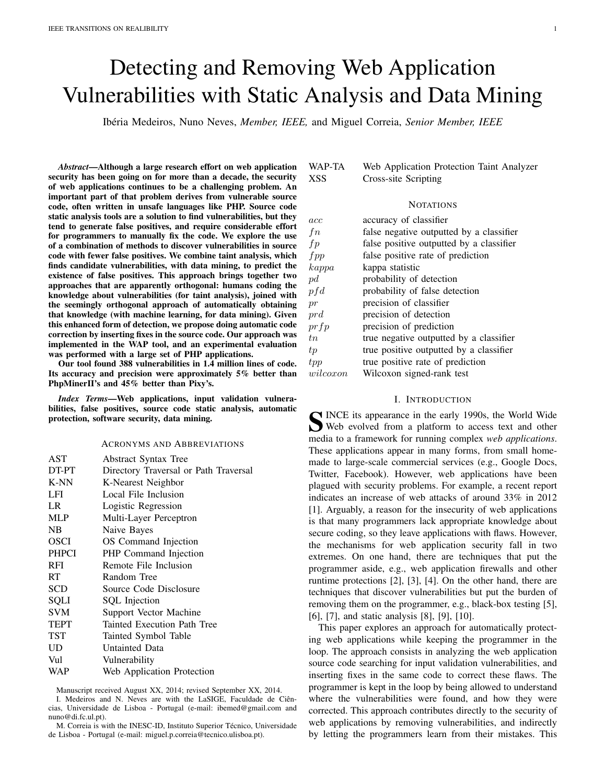# Detecting and Removing Web Application Vulnerabilities with Static Analysis and Data Mining

Ibéria Medeiros, Nuno Neves, *Member, IEEE,* and Miguel Correia, *Senior Member, IEEE*

*Abstract*—Although a large research effort on web application security has been going on for more than a decade, the security of web applications continues to be a challenging problem. An important part of that problem derives from vulnerable source code, often written in unsafe languages like PHP. Source code static analysis tools are a solution to find vulnerabilities, but they tend to generate false positives, and require considerable effort for programmers to manually fix the code. We explore the use of a combination of methods to discover vulnerabilities in source code with fewer false positives. We combine taint analysis, which finds candidate vulnerabilities, with data mining, to predict the existence of false positives. This approach brings together two approaches that are apparently orthogonal: humans coding the knowledge about vulnerabilities (for taint analysis), joined with the seemingly orthogonal approach of automatically obtaining that knowledge (with machine learning, for data mining). Given this enhanced form of detection, we propose doing automatic code correction by inserting fixes in the source code. Our approach was implemented in the WAP tool, and an experimental evaluation was performed with a large set of PHP applications.

Our tool found 388 vulnerabilities in 1.4 million lines of code. Its accuracy and precision were approximately 5% better than PhpMinerII's and 45% better than Pixy's.

*Index Terms*—Web applications, input validation vulnerabilities, false positives, source code static analysis, automatic protection, software security, data mining.

#### ACRONYMS AND ABBREVIATIONS

| <b>Abstract Syntax Tree</b>           |
|---------------------------------------|
| Directory Traversal or Path Traversal |
| K-Nearest Neighbor                    |
| Local File Inclusion                  |
| Logistic Regression                   |
| Multi-Layer Perceptron                |
| Naive Bayes                           |
| OS Command Injection                  |
| PHP Command Injection                 |
| Remote File Inclusion                 |
| Random Tree                           |
| Source Code Disclosure                |
| SQL Injection                         |
| Support Vector Machine                |
| Tainted Execution Path Tree           |
| Tainted Symbol Table                  |
| Untainted Data                        |
| Vulnerability                         |
| Web Application Protection            |
|                                       |

Manuscript received August XX, 2014; revised September XX, 2014.

I. Medeiros and N. Neves are with the LaSIGE, Faculdade de Ciências, Universidade de Lisboa - Portugal (e-mail: ibemed@gmail.com and nuno@di.fc.ul.pt).

M. Correia is with the INESC-ID, Instituto Superior Técnico, Universidade de Lisboa - Portugal (e-mail: miguel.p.correia@tecnico.ulisboa.pt).

| WAP-TA | Web Application Protection Taint Analyzer |
|--------|-------------------------------------------|
| XSS    | Cross-site Scripting                      |

### **NOTATIONS**

| acc      | accuracy of classifier                   |
|----------|------------------------------------------|
| fn       | false negative outputted by a classifier |
| f p      | false positive outputted by a classifier |
| fpp      | false positive rate of prediction        |
| kappa    | kappa statistic                          |
| pd       | probability of detection                 |
| pfd      | probability of false detection           |
| pr       | precision of classifier                  |
| $\,prd$  | precision of detection                   |
| prfp     | precision of prediction                  |
| tn       | true negative outputted by a classifier  |
| tp       | true positive outputted by a classifier  |
| tpp      | true positive rate of prediction         |
| wilcoxon | Wilcoxon signed-rank test                |

## I. INTRODUCTION

SINCE its appearance in the early 1990s, the World Wide<br>Web evolved from a platform to access text and other INCE its appearance in the early 1990s, the World Wide media to a framework for running complex *web applications*. These applications appear in many forms, from small homemade to large-scale commercial services (e.g., Google Docs, Twitter, Facebook). However, web applications have been plagued with security problems. For example, a recent report indicates an increase of web attacks of around 33% in 2012 [1]. Arguably, a reason for the insecurity of web applications is that many programmers lack appropriate knowledge about secure coding, so they leave applications with flaws. However, the mechanisms for web application security fall in two extremes. On one hand, there are techniques that put the programmer aside, e.g., web application firewalls and other runtime protections [2], [3], [4]. On the other hand, there are techniques that discover vulnerabilities but put the burden of removing them on the programmer, e.g., black-box testing [5], [6], [7], and static analysis [8], [9], [10].

This paper explores an approach for automatically protecting web applications while keeping the programmer in the loop. The approach consists in analyzing the web application source code searching for input validation vulnerabilities, and inserting fixes in the same code to correct these flaws. The programmer is kept in the loop by being allowed to understand where the vulnerabilities were found, and how they were corrected. This approach contributes directly to the security of web applications by removing vulnerabilities, and indirectly by letting the programmers learn from their mistakes. This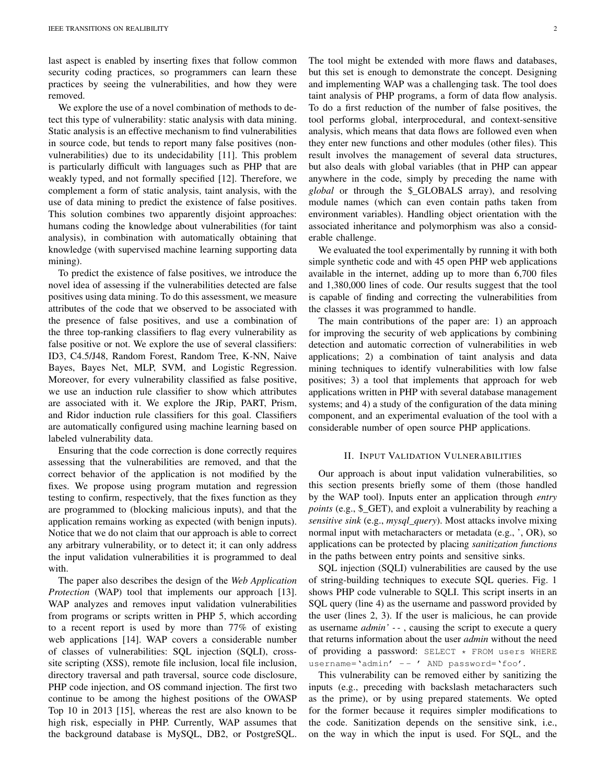last aspect is enabled by inserting fixes that follow common security coding practices, so programmers can learn these practices by seeing the vulnerabilities, and how they were removed.

We explore the use of a novel combination of methods to detect this type of vulnerability: static analysis with data mining. Static analysis is an effective mechanism to find vulnerabilities in source code, but tends to report many false positives (nonvulnerabilities) due to its undecidability [11]. This problem is particularly difficult with languages such as PHP that are weakly typed, and not formally specified [12]. Therefore, we complement a form of static analysis, taint analysis, with the use of data mining to predict the existence of false positives. This solution combines two apparently disjoint approaches: humans coding the knowledge about vulnerabilities (for taint analysis), in combination with automatically obtaining that knowledge (with supervised machine learning supporting data mining).

To predict the existence of false positives, we introduce the novel idea of assessing if the vulnerabilities detected are false positives using data mining. To do this assessment, we measure attributes of the code that we observed to be associated with the presence of false positives, and use a combination of the three top-ranking classifiers to flag every vulnerability as false positive or not. We explore the use of several classifiers: ID3, C4.5/J48, Random Forest, Random Tree, K-NN, Naive Bayes, Bayes Net, MLP, SVM, and Logistic Regression. Moreover, for every vulnerability classified as false positive, we use an induction rule classifier to show which attributes are associated with it. We explore the JRip, PART, Prism, and Ridor induction rule classifiers for this goal. Classifiers are automatically configured using machine learning based on labeled vulnerability data.

Ensuring that the code correction is done correctly requires assessing that the vulnerabilities are removed, and that the correct behavior of the application is not modified by the fixes. We propose using program mutation and regression testing to confirm, respectively, that the fixes function as they are programmed to (blocking malicious inputs), and that the application remains working as expected (with benign inputs). Notice that we do not claim that our approach is able to correct any arbitrary vulnerability, or to detect it; it can only address the input validation vulnerabilities it is programmed to deal with.

The paper also describes the design of the *Web Application Protection* (WAP) tool that implements our approach [13]. WAP analyzes and removes input validation vulnerabilities from programs or scripts written in PHP 5, which according to a recent report is used by more than 77% of existing web applications [14]. WAP covers a considerable number of classes of vulnerabilities: SQL injection (SQLI), crosssite scripting (XSS), remote file inclusion, local file inclusion, directory traversal and path traversal, source code disclosure, PHP code injection, and OS command injection. The first two continue to be among the highest positions of the OWASP Top 10 in 2013 [15], whereas the rest are also known to be high risk, especially in PHP. Currently, WAP assumes that the background database is MySQL, DB2, or PostgreSQL. The tool might be extended with more flaws and databases, but this set is enough to demonstrate the concept. Designing and implementing WAP was a challenging task. The tool does taint analysis of PHP programs, a form of data flow analysis. To do a first reduction of the number of false positives, the tool performs global, interprocedural, and context-sensitive analysis, which means that data flows are followed even when they enter new functions and other modules (other files). This result involves the management of several data structures, but also deals with global variables (that in PHP can appear anywhere in the code, simply by preceding the name with *global* or through the \$\_GLOBALS array), and resolving module names (which can even contain paths taken from environment variables). Handling object orientation with the associated inheritance and polymorphism was also a considerable challenge.

We evaluated the tool experimentally by running it with both simple synthetic code and with 45 open PHP web applications available in the internet, adding up to more than 6,700 files and 1,380,000 lines of code. Our results suggest that the tool is capable of finding and correcting the vulnerabilities from the classes it was programmed to handle.

The main contributions of the paper are: 1) an approach for improving the security of web applications by combining detection and automatic correction of vulnerabilities in web applications; 2) a combination of taint analysis and data mining techniques to identify vulnerabilities with low false positives; 3) a tool that implements that approach for web applications written in PHP with several database management systems; and 4) a study of the configuration of the data mining component, and an experimental evaluation of the tool with a considerable number of open source PHP applications.

## II. INPUT VALIDATION VULNERABILITIES

Our approach is about input validation vulnerabilities, so this section presents briefly some of them (those handled by the WAP tool). Inputs enter an application through *entry points* (e.g., \$\_GET), and exploit a vulnerability by reaching a *sensitive sink* (e.g., *mysql\_query*). Most attacks involve mixing normal input with metacharacters or metadata (e.g., ', OR), so applications can be protected by placing *sanitization functions* in the paths between entry points and sensitive sinks.

SQL injection (SQLI) vulnerabilities are caused by the use of string-building techniques to execute SQL queries. Fig. 1 shows PHP code vulnerable to SQLI. This script inserts in an SQL query (line 4) as the username and password provided by the user (lines 2, 3). If the user is malicious, he can provide as username *admin' - -* , causing the script to execute a query that returns information about the user *admin* without the need of providing a password: SELECT \* FROM users WHERE username='admin' -- ' AND password='foo'.

This vulnerability can be removed either by sanitizing the inputs (e.g., preceding with backslash metacharacters such as the prime), or by using prepared statements. We opted for the former because it requires simpler modifications to the code. Sanitization depends on the sensitive sink, i.e., on the way in which the input is used. For SQL, and the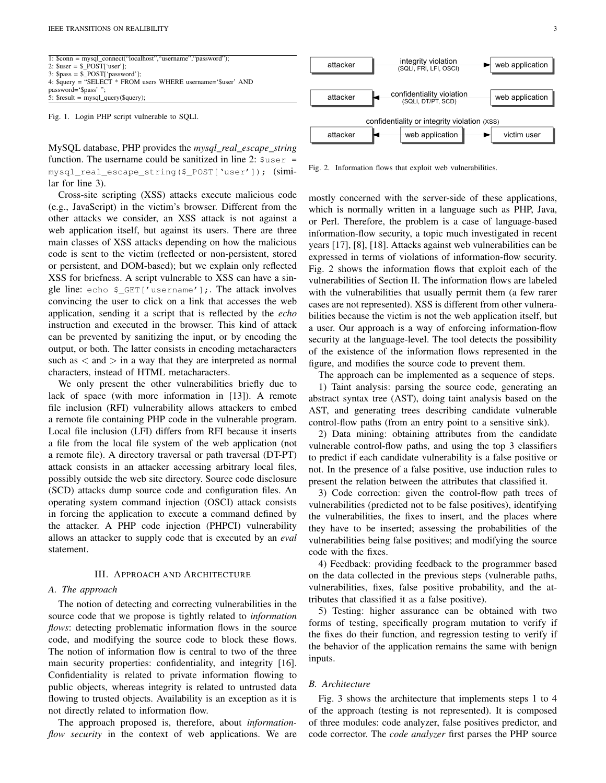

Fig. 1. Login PHP script vulnerable to SQLI.

MySQL database, PHP provides the *mysql\_real\_escape\_string* function. The username could be sanitized in line 2:  $suser =$ mysql\_real\_escape\_string(\$\_POST['user']); (similar for line 3).

Cross-site scripting (XSS) attacks execute malicious code (e.g., JavaScript) in the victim's browser. Different from the other attacks we consider, an XSS attack is not against a web application itself, but against its users. There are three main classes of XSS attacks depending on how the malicious code is sent to the victim (reflected or non-persistent, stored or persistent, and DOM-based); but we explain only reflected XSS for briefness. A script vulnerable to XSS can have a single line: echo \$\_GET['username'];. The attack involves convincing the user to click on a link that accesses the web application, sending it a script that is reflected by the *echo* instruction and executed in the browser. This kind of attack can be prevented by sanitizing the input, or by encoding the output, or both. The latter consists in encoding metacharacters such as  $\langle$  and  $\rangle$  in a way that they are interpreted as normal characters, instead of HTML metacharacters.

We only present the other vulnerabilities briefly due to lack of space (with more information in [13]). A remote file inclusion (RFI) vulnerability allows attackers to embed a remote file containing PHP code in the vulnerable program. Local file inclusion (LFI) differs from RFI because it inserts a file from the local file system of the web application (not a remote file). A directory traversal or path traversal (DT-PT) attack consists in an attacker accessing arbitrary local files, possibly outside the web site directory. Source code disclosure (SCD) attacks dump source code and configuration files. An operating system command injection (OSCI) attack consists in forcing the application to execute a command defined by the attacker. A PHP code injection (PHPCI) vulnerability allows an attacker to supply code that is executed by an *eval* statement.

#### III. APPROACH AND ARCHITECTURE

## *A. The approach*

The notion of detecting and correcting vulnerabilities in the source code that we propose is tightly related to *information flows*: detecting problematic information flows in the source code, and modifying the source code to block these flows. The notion of information flow is central to two of the three main security properties: confidentiality, and integrity [16]. Confidentiality is related to private information flowing to public objects, whereas integrity is related to untrusted data flowing to trusted objects. Availability is an exception as it is not directly related to information flow.

The approach proposed is, therefore, about *informationflow security* in the context of web applications. We are



Fig. 2. Information flows that exploit web vulnerabilities.

mostly concerned with the server-side of these applications, which is normally written in a language such as PHP, Java, or Perl. Therefore, the problem is a case of language-based information-flow security, a topic much investigated in recent years [17], [8], [18]. Attacks against web vulnerabilities can be expressed in terms of violations of information-flow security. Fig. 2 shows the information flows that exploit each of the vulnerabilities of Section II. The information flows are labeled with the vulnerabilities that usually permit them (a few rarer cases are not represented). XSS is different from other vulnerabilities because the victim is not the web application itself, but a user. Our approach is a way of enforcing information-flow security at the language-level. The tool detects the possibility of the existence of the information flows represented in the figure, and modifies the source code to prevent them.

The approach can be implemented as a sequence of steps. 1) Taint analysis: parsing the source code, generating an abstract syntax tree (AST), doing taint analysis based on the AST, and generating trees describing candidate vulnerable control-flow paths (from an entry point to a sensitive sink).

2) Data mining: obtaining attributes from the candidate vulnerable control-flow paths, and using the top 3 classifiers to predict if each candidate vulnerability is a false positive or not. In the presence of a false positive, use induction rules to present the relation between the attributes that classified it.

3) Code correction: given the control-flow path trees of vulnerabilities (predicted not to be false positives), identifying the vulnerabilities, the fixes to insert, and the places where they have to be inserted; assessing the probabilities of the vulnerabilities being false positives; and modifying the source code with the fixes.

4) Feedback: providing feedback to the programmer based on the data collected in the previous steps (vulnerable paths, vulnerabilities, fixes, false positive probability, and the attributes that classified it as a false positive).

5) Testing: higher assurance can be obtained with two forms of testing, specifically program mutation to verify if the fixes do their function, and regression testing to verify if the behavior of the application remains the same with benign inputs.

## *B. Architecture*

Fig. 3 shows the architecture that implements steps 1 to 4 of the approach (testing is not represented). It is composed of three modules: code analyzer, false positives predictor, and code corrector. The *code analyzer* first parses the PHP source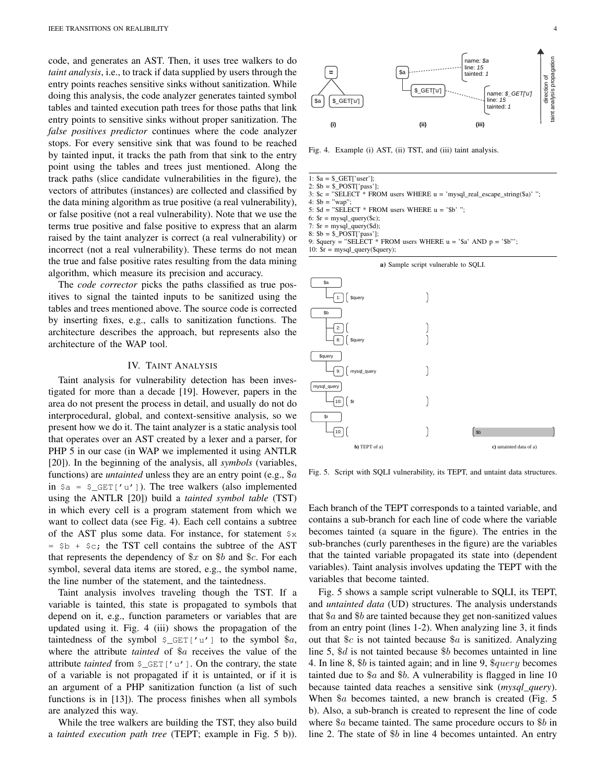code, and generates an AST. Then, it uses tree walkers to do *taint analysis*, i.e., to track if data supplied by users through the entry points reaches sensitive sinks without sanitization. While doing this analysis, the code analyzer generates tainted symbol tables and tainted execution path trees for those paths that link entry points to sensitive sinks without proper sanitization. The *false positives predictor* continues where the code analyzer stops. For every sensitive sink that was found to be reached by tainted input, it tracks the path from that sink to the entry point using the tables and trees just mentioned. Along the track paths (slice candidate vulnerabilities in the figure), the vectors of attributes (instances) are collected and classified by the data mining algorithm as true positive (a real vulnerability), or false positive (not a real vulnerability). Note that we use the terms true positive and false positive to express that an alarm raised by the taint analyzer is correct (a real vulnerability) or incorrect (not a real vulnerability). These terms do not mean the true and false positive rates resulting from the data mining algorithm, which measure its precision and accuracy.

The *code corrector* picks the paths classified as true positives to signal the tainted inputs to be sanitized using the tables and trees mentioned above. The source code is corrected by inserting fixes, e.g., calls to sanitization functions. The architecture describes the approach, but represents also the architecture of the WAP tool.

# IV. TAINT ANALYSIS

Taint analysis for vulnerability detection has been investigated for more than a decade [19]. However, papers in the area do not present the process in detail, and usually do not do interprocedural, global, and context-sensitive analysis, so we present how we do it. The taint analyzer is a static analysis tool that operates over an AST created by a lexer and a parser, for PHP 5 in our case (in WAP we implemented it using ANTLR [20]). In the beginning of the analysis, all *symbols* (variables, functions) are *untainted* unless they are an entry point (e.g., \$a in  $\alpha = \frac{\alpha - 1}{\alpha'}$ . The tree walkers (also implemented using the ANTLR [20]) build a *tainted symbol table* (TST) in which every cell is a program statement from which we want to collect data (see Fig. 4). Each cell contains a subtree of the AST plus some data. For instance, for statement  $x = x$  $=$  \$b + \$c; the TST cell contains the subtree of the AST that represents the dependency of  $x$  on  $b$  and  $c$ . For each symbol, several data items are stored, e.g., the symbol name, the line number of the statement, and the taintedness.

Taint analysis involves traveling though the TST. If a variable is tainted, this state is propagated to symbols that depend on it, e.g., function parameters or variables that are updated using it. Fig. 4 (iii) shows the propagation of the taintedness of the symbol  $\S$ <sub>CET['u']</sub> to the symbol  $\&a$ , where the attribute *tainted* of \$a receives the value of the attribute *tainted* from \$\_GET['u']. On the contrary, the state of a variable is not propagated if it is untainted, or if it is an argument of a PHP sanitization function (a list of such functions is in [13]). The process finishes when all symbols are analyzed this way.

While the tree walkers are building the TST, they also build a *tainted execution path tree* (TEPT; example in Fig. 5 b)).



line: *16*

line: *16*

Fig. 4. Example (i) AST, (ii) TST, and (iii) taint analysis.

**=** 1: \$a = \$\_GET['user']; **=**

- 2:  $$b = $_POST['pass']$
- 2: \$b = \$\_POS1[ pass ];<br>3: \$c = "SELECT \* FROM users WHERE u = 'mysql\_real\_escape\_string(\$a)' ";<br>4: \$b = "Nap";<br>5: \$d = "SELECT \* FROM users WHERE u = '\$b' ": tan analysis property and analyze the control of the set of the set of the set of the set of the set of the set of the set of the set of the set of the set of the set of the set of the set of the set of the set of the set
- 4:  $$b = "wap";$ 
	- 5: \$d = "SELECT \* FROM users WHERE u = '\$b' ";
	- $6:$   $\text{Sr} = \text{mysql\_query}(\text{Sc});$

7:  $\text{Sr} = \text{mysql\_query}(\text{Sd})$ ;

 $8:$   $$b = $\_POST['pass']$ ;

 $\dot{\mathbf{S}}$ :  $\dot{\mathbf{S}}$   $\dot{\mathbf{S}}$  =  $\dot{\mathbf{S}}$   $\dot{\mathbf{S}}$   $\dot{\mathbf{S}}$  =  $\dot{\mathbf{S}}$   $\dot{\mathbf{S}}$   $\dot{\mathbf{S}}$  =  $\dot{\mathbf{S}}$   $\dot{\mathbf{S}}$   $\dot{\mathbf{S}}$   $\dot{\mathbf{S}}$   $\dot{\mathbf{S}}$   $\dot{\mathbf{S}}$   $\dot{\mathbf{S}}$   $\dot{\mathbf{S}}$   $\dot{\mathbf{S}}$   $\dot{\mathbf{S}}$   $\dot{\math$  $\text{if } \S$ r = mysql\_query(\$query);



Fig. 5. Script with SQLI vulnerability, its TEPT, and untaint data structures.

Each branch of the TEPT corresponds to a tainted variable, and contains a sub-branch for each line of code where the variable becomes tainted (a square in the figure). The entries in the sub-branches (curly parentheses in the figure) are the variables that the tainted variable propagated its state into (dependent variables). Taint analysis involves updating the TEPT with the variables that become tainted.

Fig. 5 shows a sample script vulnerable to SQLI, its TEPT, and *untainted data* (UD) structures. The analysis understands that  $a$  and  $b$  are tainted because they get non-sanitized values from an entry point (lines 1-2). When analyzing line 3, it finds out that  $c$  is not tainted because  $a$  is sanitized. Analyzing line 5, \$d is not tainted because \$b becomes untainted in line 4. In line 8,  $$b$  is tainted again; and in line 9,  $$query$  becomes tainted due to  $a$  and  $b$ . A vulnerability is flagged in line 10 because tainted data reaches a sensitive sink (*mysql\_query*). When  $\alpha$  becomes tainted, a new branch is created (Fig. 5) b). Also, a sub-branch is created to represent the line of code where  $a$  became tainted. The same procedure occurs to  $b$  in line 2. The state of \$b in line 4 becomes untainted. An entry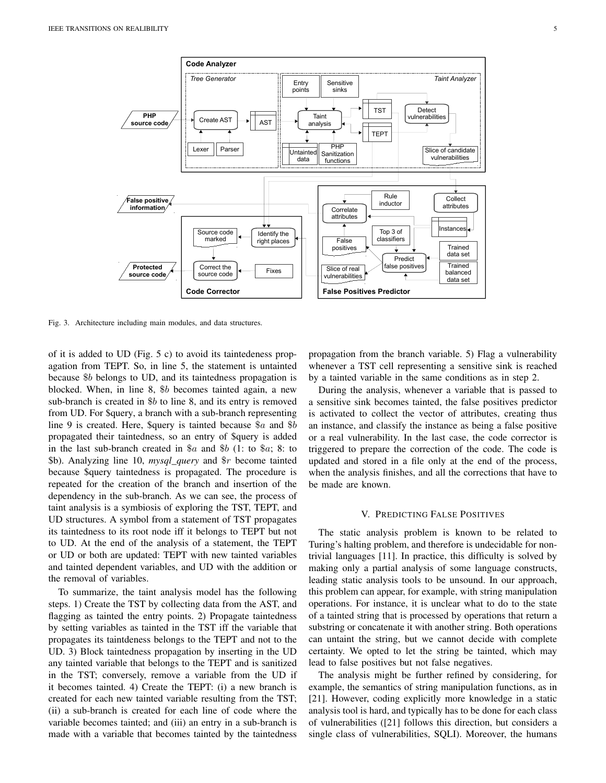

Fig. 3. Architecture including main modules, and data structures.

of it is added to UD (Fig. 5 c) to avoid its taintedeness propagation from TEPT. So, in line 5, the statement is untainted because \$b belongs to UD, and its taintedness propagation is blocked. When, in line 8, \$b becomes tainted again, a new sub-branch is created in \$b to line 8, and its entry is removed from UD. For \$query, a branch with a sub-branch representing line 9 is created. Here, \$query is tainted because  $a$  and  $b$ propagated their taintedness, so an entry of \$query is added in the last sub-branch created in  $a$  and  $b$  (1: to  $a$ ; 8: to \$b). Analyzing line 10, *mysql\_query* and \$r become tainted because \$query taintedness is propagated. The procedure is repeated for the creation of the branch and insertion of the dependency in the sub-branch. As we can see, the process of taint analysis is a symbiosis of exploring the TST, TEPT, and UD structures. A symbol from a statement of TST propagates its taintedness to its root node iff it belongs to TEPT but not to UD. At the end of the analysis of a statement, the TEPT or UD or both are updated: TEPT with new tainted variables and tainted dependent variables, and UD with the addition or the removal of variables.

To summarize, the taint analysis model has the following steps. 1) Create the TST by collecting data from the AST, and flagging as tainted the entry points. 2) Propagate taintedness by setting variables as tainted in the TST iff the variable that propagates its taintdeness belongs to the TEPT and not to the UD. 3) Block taintedness propagation by inserting in the UD any tainted variable that belongs to the TEPT and is sanitized in the TST; conversely, remove a variable from the UD if it becomes tainted. 4) Create the TEPT: (i) a new branch is created for each new tainted variable resulting from the TST; (ii) a sub-branch is created for each line of code where the variable becomes tainted; and (iii) an entry in a sub-branch is made with a variable that becomes tainted by the taintedness

propagation from the branch variable. 5) Flag a vulnerability whenever a TST cell representing a sensitive sink is reached by a tainted variable in the same conditions as in step 2.

During the analysis, whenever a variable that is passed to a sensitive sink becomes tainted, the false positives predictor is activated to collect the vector of attributes, creating thus an instance, and classify the instance as being a false positive or a real vulnerability. In the last case, the code corrector is triggered to prepare the correction of the code. The code is updated and stored in a file only at the end of the process, when the analysis finishes, and all the corrections that have to be made are known.

# V. PREDICTING FALSE POSITIVES

The static analysis problem is known to be related to Turing's halting problem, and therefore is undecidable for nontrivial languages [11]. In practice, this difficulty is solved by making only a partial analysis of some language constructs, leading static analysis tools to be unsound. In our approach, this problem can appear, for example, with string manipulation operations. For instance, it is unclear what to do to the state of a tainted string that is processed by operations that return a substring or concatenate it with another string. Both operations can untaint the string, but we cannot decide with complete certainty. We opted to let the string be tainted, which may lead to false positives but not false negatives.

The analysis might be further refined by considering, for example, the semantics of string manipulation functions, as in [21]. However, coding explicitly more knowledge in a static analysis tool is hard, and typically has to be done for each class of vulnerabilities ([21] follows this direction, but considers a single class of vulnerabilities, SQLI). Moreover, the humans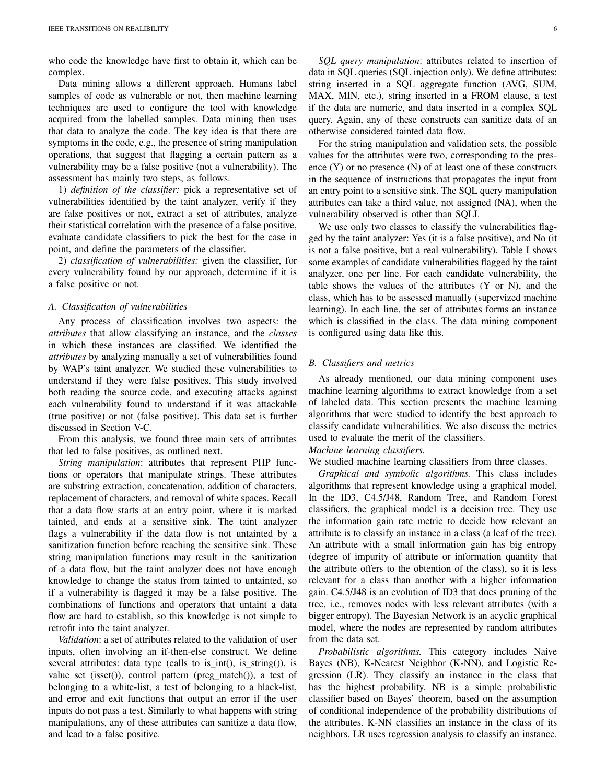who code the knowledge have first to obtain it, which can be complex.

Data mining allows a different approach. Humans label samples of code as vulnerable or not, then machine learning techniques are used to configure the tool with knowledge acquired from the labelled samples. Data mining then uses that data to analyze the code. The key idea is that there are symptoms in the code, e.g., the presence of string manipulation operations, that suggest that flagging a certain pattern as a vulnerability may be a false positive (not a vulnerability). The assessment has mainly two steps, as follows.

1) *definition of the classifier:* pick a representative set of vulnerabilities identified by the taint analyzer, verify if they are false positives or not, extract a set of attributes, analyze their statistical correlation with the presence of a false positive, evaluate candidate classifiers to pick the best for the case in point, and define the parameters of the classifier.

2) *classification of vulnerabilities:* given the classifier, for every vulnerability found by our approach, determine if it is a false positive or not.

#### *A. Classification of vulnerabilities*

Any process of classification involves two aspects: the *attributes* that allow classifying an instance, and the *classes* in which these instances are classified. We identified the *attributes* by analyzing manually a set of vulnerabilities found by WAP's taint analyzer. We studied these vulnerabilities to understand if they were false positives. This study involved both reading the source code, and executing attacks against each vulnerability found to understand if it was attackable (true positive) or not (false positive). This data set is further discussed in Section V-C.

From this analysis, we found three main sets of attributes that led to false positives, as outlined next.

*String manipulation*: attributes that represent PHP functions or operators that manipulate strings. These attributes are substring extraction, concatenation, addition of characters, replacement of characters, and removal of white spaces. Recall that a data flow starts at an entry point, where it is marked tainted, and ends at a sensitive sink. The taint analyzer flags a vulnerability if the data flow is not untainted by a sanitization function before reaching the sensitive sink. These string manipulation functions may result in the sanitization of a data flow, but the taint analyzer does not have enough knowledge to change the status from tainted to untainted, so if a vulnerability is flagged it may be a false positive. The combinations of functions and operators that untaint a data flow are hard to establish, so this knowledge is not simple to retrofit into the taint analyzer.

*Validation*: a set of attributes related to the validation of user inputs, often involving an if-then-else construct. We define several attributes: data type (calls to is\_int(), is\_string()), is value set (isset()), control pattern (preg\_match()), a test of belonging to a white-list, a test of belonging to a black-list, and error and exit functions that output an error if the user inputs do not pass a test. Similarly to what happens with string manipulations, any of these attributes can sanitize a data flow, and lead to a false positive.

*SQL query manipulation*: attributes related to insertion of data in SQL queries (SQL injection only). We define attributes: string inserted in a SQL aggregate function (AVG, SUM, MAX, MIN, etc.), string inserted in a FROM clause, a test if the data are numeric, and data inserted in a complex SQL query. Again, any of these constructs can sanitize data of an otherwise considered tainted data flow.

For the string manipulation and validation sets, the possible values for the attributes were two, corresponding to the presence (Y) or no presence (N) of at least one of these constructs in the sequence of instructions that propagates the input from an entry point to a sensitive sink. The SQL query manipulation attributes can take a third value, not assigned (NA), when the vulnerability observed is other than SQLI.

We use only two classes to classify the vulnerabilities flagged by the taint analyzer: Yes (it is a false positive), and No (it is not a false positive, but a real vulnerability). Table I shows some examples of candidate vulnerabilities flagged by the taint analyzer, one per line. For each candidate vulnerability, the table shows the values of the attributes (Y or N), and the class, which has to be assessed manually (supervized machine learning). In each line, the set of attributes forms an instance which is classified in the class. The data mining component is configured using data like this.

# *B. Classifiers and metrics*

As already mentioned, our data mining component uses machine learning algorithms to extract knowledge from a set of labeled data. This section presents the machine learning algorithms that were studied to identify the best approach to classify candidate vulnerabilities. We also discuss the metrics used to evaluate the merit of the classifiers.

# *Machine learning classifiers.*

We studied machine learning classifiers from three classes.

*Graphical and symbolic algorithms.* This class includes algorithms that represent knowledge using a graphical model. In the ID3, C4.5/J48, Random Tree, and Random Forest classifiers, the graphical model is a decision tree. They use the information gain rate metric to decide how relevant an attribute is to classify an instance in a class (a leaf of the tree). An attribute with a small information gain has big entropy (degree of impurity of attribute or information quantity that the attribute offers to the obtention of the class), so it is less relevant for a class than another with a higher information gain. C4.5/J48 is an evolution of ID3 that does pruning of the tree, i.e., removes nodes with less relevant attributes (with a bigger entropy). The Bayesian Network is an acyclic graphical model, where the nodes are represented by random attributes from the data set.

*Probabilistic algorithms.* This category includes Naive Bayes (NB), K-Nearest Neighbor (K-NN), and Logistic Regression (LR). They classify an instance in the class that has the highest probability. NB is a simple probabilistic classifier based on Bayes' theorem, based on the assumption of conditional independence of the probability distributions of the attributes. K-NN classifies an instance in the class of its neighbors. LR uses regression analysis to classify an instance.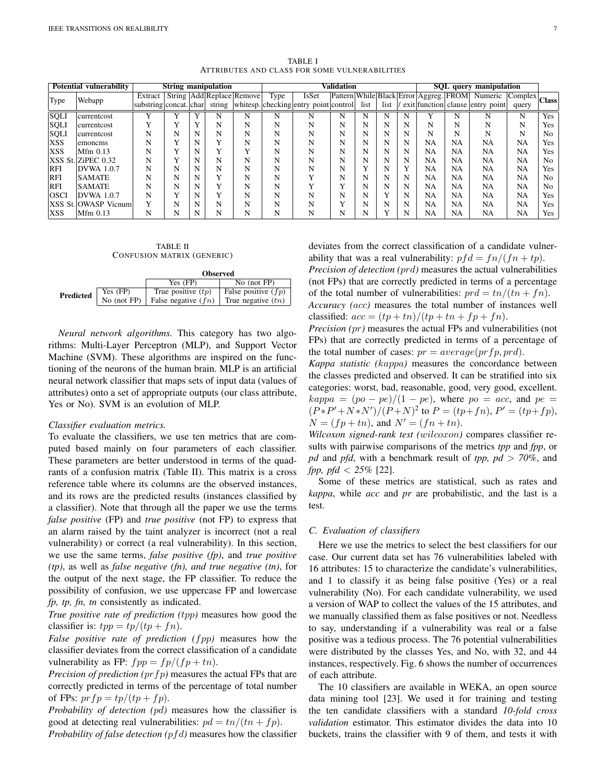| Potential vulnerability<br><b>String manipulation</b> |                             |                        |              |              | Validation |                                |      |                                       | <b>SQL</b> query manipulation |             |      |              |                                        |           |                                  |           |     |
|-------------------------------------------------------|-----------------------------|------------------------|--------------|--------------|------------|--------------------------------|------|---------------------------------------|-------------------------------|-------------|------|--------------|----------------------------------------|-----------|----------------------------------|-----------|-----|
| Type                                                  |                             | Extract                |              |              |            | String   Add  Replace   Remove | Type | IsSet                                 |                               |             |      |              | Pattern While Black Error Aggreg. FROM |           | Numeric Complex Class            |           |     |
|                                                       | Webapp                      | substring concat. char |              |              | string     |                                |      | whitesp. checking entry point control |                               | list        | list |              |                                        |           | exit function clause entry point | query     |     |
| <b>SQLI</b>                                           | currentcost                 |                        |              |              |            | N                              | N    | N                                     | N                             | N           | N    | N            |                                        | N         | N                                | N         | Yes |
| <b>SQLI</b>                                           | currentcost                 |                        |              | $\mathbf{v}$ |            | N                              | N    | N                                     | N                             | N           | N    | N            | N                                      | N         | N                                | N         | Yes |
| <b>SQLI</b>                                           | currentcost                 | N                      | N            | N            |            | N                              | N    | N                                     | N                             | N           | N    | N            | N                                      | N         | N                                | N         | No  |
| <b>XSS</b>                                            | emoncms                     | N                      | $\mathbf{v}$ | N            |            | N                              | N    | N                                     | N                             | N           | N    | N            | <b>NA</b>                              | NA        | NA                               | NA        | Yes |
| <b>XSS</b>                                            | Mfm 0.13                    | N                      | $\mathbf{v}$ | N            |            |                                | N    | N                                     | N                             | N           | N    | N            | NA                                     | NA        | NA                               | NA        | Yes |
|                                                       | XSS St. ZiPEC 0.32          | N                      | $\mathbf{v}$ | N            |            | N                              | N    | N                                     | N                             | N           | N    | N            | NA                                     | NA        | NA                               | NA        | No  |
| <b>RFI</b>                                            | DVWA 1.0.7                  | N                      | N            | N            | N          | N                              | N    | N                                     | N                             | $\mathbf v$ | N    | $\mathbf{v}$ | <b>NA</b>                              | NA        | NA                               | NA        | Yes |
| RFI                                                   | <b>SAMATE</b>               | N                      | N            | N            |            | N                              | N    |                                       | N                             | N           | N    | N            | NA                                     | NA        | NA                               | NA        | No. |
| <b>RFI</b>                                            | <b>SAMATE</b>               | N                      | N            | N            |            | N                              | N    |                                       |                               | N           | N    | N            | <b>NA</b>                              | NA        | NA                               | NA        | No  |
| <b>OSCI</b>                                           | <b>DVWA</b> 1.0.7           | N                      | $\mathbf{v}$ | N            |            | N                              | N    | N                                     | N                             | N           |      | N            | NA                                     | NA        | NA                               | NA        | Yes |
|                                                       | <b>XSS St. OWASP Vicnum</b> | v                      | N            | N            |            | N                              | N    | N                                     |                               | N           | N    | N            | <b>NA</b>                              | <b>NA</b> | NA                               | NA        | Yes |
| <b>XSS</b>                                            | $Mfm$ 0.13                  | N                      |              | N            |            |                                | N    | N                                     | N                             | N           |      | N            | <b>NA</b>                              | <b>NA</b> | NA                               | <b>NA</b> | Yes |

TABLE I ATTRIBUTES AND CLASS FOR SOME VULNERABILITIES

TABLE II CONFUSION MATRIX (GENERIC)

|           |               | <b>Observed</b>       |                       |  |  |  |  |  |
|-----------|---------------|-----------------------|-----------------------|--|--|--|--|--|
|           |               | Yes (FP)              | No $(not FP)$         |  |  |  |  |  |
| Predicted | $Yes$ $(FP)$  | True positive $(tp)$  | False positive $(fp)$ |  |  |  |  |  |
|           | No $(not FP)$ | False negative $(fn)$ | True negative $(tn)$  |  |  |  |  |  |

*Neural network algorithms.* This category has two algorithms: Multi-Layer Perceptron (MLP), and Support Vector Machine (SVM). These algorithms are inspired on the functioning of the neurons of the human brain. MLP is an artificial neural network classifier that maps sets of input data (values of attributes) onto a set of appropriate outputs (our class attribute, Yes or No). SVM is an evolution of MLP.

## *Classifier evaluation metrics.*

To evaluate the classifiers, we use ten metrics that are computed based mainly on four parameters of each classifier. These parameters are better understood in terms of the quadrants of a confusion matrix (Table II). This matrix is a cross reference table where its columns are the observed instances, and its rows are the predicted results (instances classified by a classifier). Note that through all the paper we use the terms *false positive* (FP) and *true positive* (not FP) to express that an alarm raised by the taint analyzer is incorrect (not a real vulnerability) or correct (a real vulnerability). In this section, we use the same terms, *false positive (fp)*, and *true positive (tp)*, as well as *false negative (fn), and true negative (tn)*, for the output of the next stage, the FP classifier. To reduce the possibility of confusion, we use uppercase FP and lowercase *fp, tp, fn, tn* consistently as indicated.

*True positive rate of prediction (*tpp*)* measures how good the classifier is:  $tpp = tp/(tp + fn)$ .

*False positive rate of prediction (fpp)* measures how the classifier deviates from the correct classification of a candidate vulnerability as FP:  $fpp = fp/(fp + tn)$ .

*Precision of prediction (prfp)* measures the actual FPs that are correctly predicted in terms of the percentage of total number of FPs:  $prfp = tp/(tp + fp)$ .

*Probability of detection (*pd*)* measures how the classifier is good at detecting real vulnerabilities:  $pd = tn/(tn + fp)$ .

*Probability of false detection*  $(pfd)$  *measures how the classifier* 

deviates from the correct classification of a candidate vulnerability that was a real vulnerability:  $pfd = \frac{fn}{(fn + tp)}$ .

*Precision of detection (*prd*)* measures the actual vulnerabilities (not FPs) that are correctly predicted in terms of a percentage of the total number of vulnerabilities:  $prd = \frac{tn}{(tn + fn)}$ . *Accuracy (*acc*)* measures the total number of instances well classified:  $acc = (tp + tn)/(tp + tn + fp + fn)$ .

*Precision (*pr*)* measures the actual FPs and vulnerabilities (not FPs) that are correctly predicted in terms of a percentage of the total number of cases:  $pr = average(prfp, prd)$ .

*Kappa statistic (*kappa*)* measures the concordance between the classes predicted and observed. It can be stratified into six categories: worst, bad, reasonable, good, very good, excellent.  $kappa = (po - pe)/(1 - pe)$ , where  $po = acc$ , and  $pe =$  $(P*P'+N*N')/(P+N)^2$  to  $P=(tp+fn), P'=(tp+fp),$  $N = (fp + tn)$ , and  $N' = (fn + tn)$ .

*Wilcoxon signed-rank test (*wilcoxon*)* compares classifier results with pairwise comparisons of the metrics *tpp* and *fpp*, or *pd* and *pfd*, with a benchmark result of *tpp, pd* > *70%*, and *fpp, pfd*  $\lt$  25\% [22].

Some of these metrics are statistical, such as rates and *kappa*, while *acc* and *pr* are probabilistic, and the last is a test.

## *C. Evaluation of classifiers*

Here we use the metrics to select the best classifiers for our case. Our current data set has 76 vulnerabilities labeled with 16 attributes: 15 to characterize the candidate's vulnerabilities, and 1 to classify it as being false positive (Yes) or a real vulnerability (No). For each candidate vulnerability, we used a version of WAP to collect the values of the 15 attributes, and we manually classified them as false positives or not. Needless to say, understanding if a vulnerability was real or a false positive was a tedious process. The 76 potential vulnerabilities were distributed by the classes Yes, and No, with 32, and 44 instances, respectively. Fig. 6 shows the number of occurrences of each attribute.

The 10 classifiers are available in WEKA, an open source data mining tool [23]. We used it for training and testing the ten candidate classifiers with a standard *10-fold cross validation* estimator. This estimator divides the data into 10 buckets, trains the classifier with 9 of them, and tests it with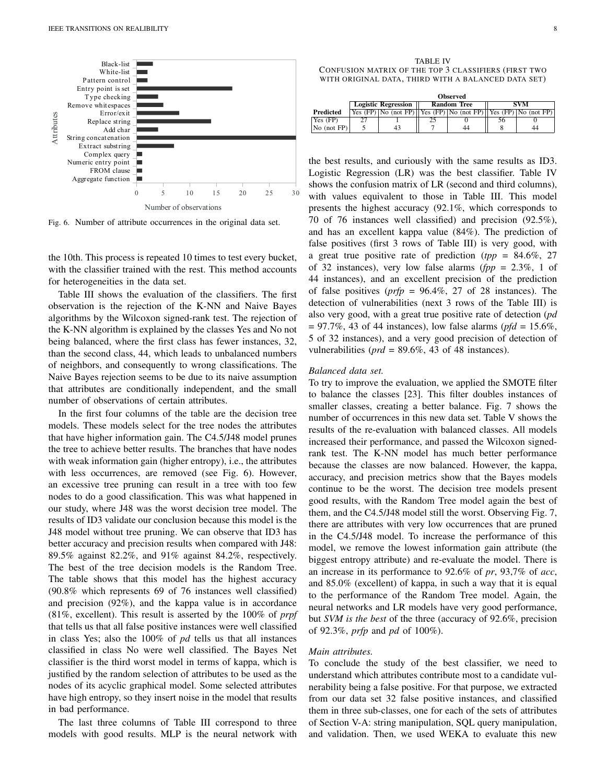

Fig. 6. Number of attribute occurrences in the original data set.

rogenemes is for heterogeneities in the data set. with the classifier trained with the rest. This method accounts the 10th. This process is repeated 10 times to test every bucket,

that attributes are conditionally independent, and the small Naive Bayes rejection seems to be due to its naive assumption ngmoors, and co of neighbors, and consequently to wrong classifications. The than the second class, 44, which leads to unbalanced numbers being balanced, where the first class has fewer instances, 32,  $\mathop{\rm ord}\nolimits$  $\log$  and  $\log$ algorithms by the Wilcoxon signed-rank test. The rejection of observation is the rejection of the K-NN and Naive Bayes Table III shows the evaluation of the classifiers. The first number of observations of certain attributes. lg<br>he<br>)ei the K-NN algorithm is explained by the classes Yes and No not

the tree to achieve better results. The branches that have nodes In the first four columns of the table are the decision tree models. These models select for the tree nodes the attributes that have higher information gain. The C4.5/J48 model prunes with weak information gain (higher entropy), i.e., the attributes with less occurrences, are removed (see Fig. 6). However, an excessive tree pruning can result in a tree with too few nodes to do a good classification. This was what happened in our study, where J48 was the worst decision tree model. The results of ID3 validate our conclusion because this model is the J48 model without tree pruning. We can observe that ID3 has better accuracy and precision results when compared with J48: 89.5% against 82.2%, and 91% against 84.2%, respectively. The best of the tree decision models is the Random Tree. The table shows that this model has the highest accuracy (90.8% which represents 69 of 76 instances well classified) and precision (92%), and the kappa value is in accordance (81%, excellent). This result is asserted by the 100% of *prpf* that tells us that all false positive instances were well classified in class Yes; also the 100% of *pd* tells us that all instances classified in class No were well classified. The Bayes Net classifier is the third worst model in terms of kappa, which is justified by the random selection of attributes to be used as the nodes of its acyclic graphical model. Some selected attributes have high entropy, so they insert noise in the model that results in bad performance.

The last three columns of Table III correspond to three models with good results. MLP is the neural network with

TABLE IV CONFUSION MATRIX OF THE TOP 3 CLASSIFIERS (FIRST TWO WITH ORIGINAL DATA, THIRD WITH A BALANCED DATA SET)

|                  | <b>Observed</b> |                            |  |                                                                          |            |    |  |  |  |  |  |  |
|------------------|-----------------|----------------------------|--|--------------------------------------------------------------------------|------------|----|--|--|--|--|--|--|
|                  |                 | <b>Logistic Regression</b> |  | <b>Random Tree</b>                                                       | <b>SVM</b> |    |  |  |  |  |  |  |
| Predicted        |                 |                            |  | Yes $(FP)$ No (not FP)   Yes $(FP)$ No (not FP)   Yes $(FP)$ No (not FP) |            |    |  |  |  |  |  |  |
| $Yes$ $(FP)$     |                 |                            |  |                                                                          | эe         |    |  |  |  |  |  |  |
| $No$ (not $FP$ ) |                 | 43                         |  | 44                                                                       |            | 44 |  |  |  |  |  |  |

the best results, and curiously with the same results as ID3. Logistic Regression (LR) was the best classifier. Table IV shows the confusion matrix of LR (second and third columns), with values equivalent to those in Table III. This model presents the highest accuracy (92.1%, which corresponds to 70 of 76 instances well classified) and precision (92.5%), and has an excellent kappa value (84%). The prediction of false positives (first 3 rows of Table III) is very good, with a great true positive rate of prediction (*tpp* = 84.6%, 27 of 32 instances), very low false alarms (*fpp* = 2.3%, 1 of 44 instances), and an excellent precision of the prediction of false positives (*prfp* = 96.4%, 27 of 28 instances). The detection of vulnerabilities (next 3 rows of the Table III) is also very good, with a great true positive rate of detection (*pd* = 97.7%, 43 of 44 instances), low false alarms (*pfd* = 15.6%, 5 of 32 instances), and a very good precision of detection of vulnerabilities ( $\text{prd} = 89.6\%$ , 43 of 48 instances).

### *Balanced data set.*

To try to improve the evaluation, we applied the SMOTE filter to balance the classes [23]. This filter doubles instances of smaller classes, creating a better balance. Fig. 7 shows the number of occurrences in this new data set. Table V shows the results of the re-evaluation with balanced classes. All models increased their performance, and passed the Wilcoxon signedrank test. The K-NN model has much better performance because the classes are now balanced. However, the kappa, accuracy, and precision metrics show that the Bayes models continue to be the worst. The decision tree models present good results, with the Random Tree model again the best of them, and the C4.5/J48 model still the worst. Observing Fig. 7, there are attributes with very low occurrences that are pruned in the C4.5/J48 model. To increase the performance of this model, we remove the lowest information gain attribute (the biggest entropy attribute) and re-evaluate the model. There is an increase in its performance to 92.6% of *pr*, 93,7% of *acc*, and 85.0% (excellent) of kappa, in such a way that it is equal to the performance of the Random Tree model. Again, the neural networks and LR models have very good performance, but *SVM is the best* of the three (accuracy of 92.6%, precision of 92.3%, *prfp* and *pd* of 100%).

#### *Main attributes.*

To conclude the study of the best classifier, we need to understand which attributes contribute most to a candidate vulnerability being a false positive. For that purpose, we extracted from our data set 32 false positive instances, and classified them in three sub-classes, one for each of the sets of attributes of Section V-A: string manipulation, SQL query manipulation, and validation. Then, we used WEKA to evaluate this new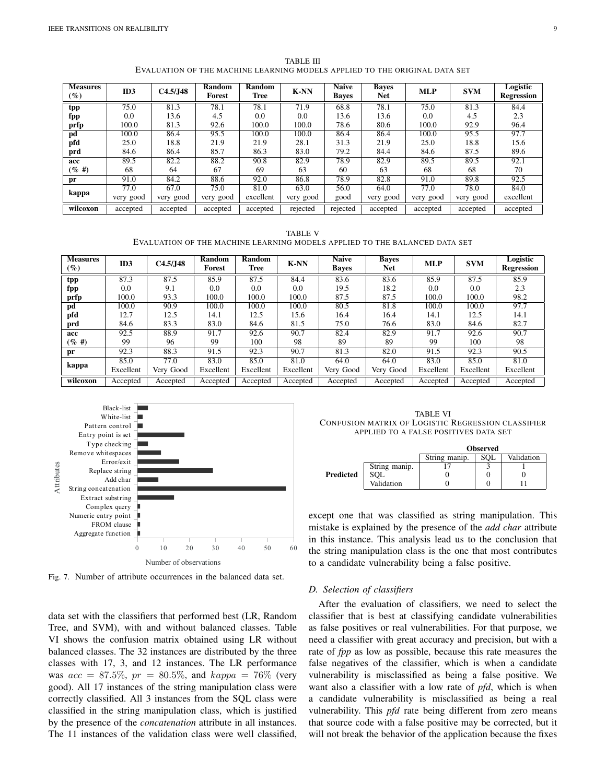TABLE III EVALUATION OF THE MACHINE LEARNING MODELS APPLIED TO THE ORIGINAL DATA SET

| <b>Measures</b><br>$(\%)$ | ID <sub>3</sub> | C <sub>4.5</sub> /J <sub>48</sub> | Random<br>Forest | Random<br><b>Tree</b> | <b>K-NN</b> | <b>Naive</b><br><b>Baves</b> | <b>Baves</b><br><b>Net</b> | <b>MLP</b> | <b>SVM</b> | Logistic<br>Regression |
|---------------------------|-----------------|-----------------------------------|------------------|-----------------------|-------------|------------------------------|----------------------------|------------|------------|------------------------|
| tpp                       | 75.0            | 81.3                              | 78.1             | 78.1                  | 71.9        | 68.8                         | 78.1                       | 75.0       | 81.3       | 84.4                   |
| fpp                       | 0.0             | 13.6                              | 4.5              | 0.0                   | 0.0         | 13.6                         | 13.6                       | 0.0        | 4.5        | 2.3                    |
| prfp                      | 100.0           | 81.3                              | 92.6             | 100.0                 | 100.0       | 78.6                         | 80.6                       | 100.0      | 92.9       | 96.4                   |
| pd                        | 100.0           | 86.4                              | 95.5             | 100.0                 | 100.0       | 86.4                         | 86.4                       | 100.0      | 95.5       | 97.7                   |
| pfd                       | 25.0            | 18.8                              | 21.9             | 21.9                  | 28.1        | 31.3                         | 21.9                       | 25.0       | 18.8       | 15.6                   |
| prd                       | 84.6            | 86.4                              | 85.7             | 86.3                  | 83.0        | 79.2                         | 84.4                       | 84.6       | 87.5       | 89.6                   |
| acc                       | 89.5            | 82.2                              | 88.2             | 90.8                  | 82.9        | 78.9                         | 82.9                       | 89.5       | 89.5       | 92.1                   |
| $( \%  # )$               | 68              | 64                                | 67               | 69                    | 63          | 60                           | 63                         | 68         | 68         | 70                     |
| pr                        | 91.0            | 84.2                              | 88.6             | 92.0                  | 86.8        | 78.9                         | 82.8                       | 91.0       | 89.8       | 92.5                   |
|                           | 77.0            | 67.0                              | 75.0             | 81.0                  | 63.0        | 56.0                         | 64.0                       | 77.0       | 78.0       | 84.0                   |
| kappa                     | very good       | very good                         | very good        | excellent             | very good   | good                         | very good                  | very good  | very good  | excellent              |
| wilcoxon                  | accepted        | accepted                          | accepted         | accepted              | rejected    | rejected                     | accepted                   | accepted   | accepted   | accepted               |

TABLE V EVALUATION OF THE MACHINE LEARNING MODELS APPLIED TO THE BALANCED DATA SET

| <b>Measures</b><br>$(\%)$ | ID <sub>3</sub> | C4.5/J48  | Random<br><b>Forest</b> | Random<br>Tree | <b>K-NN</b> | <b>Naive</b><br><b>Baves</b> | <b>Baves</b><br>Net | <b>MLP</b> | <b>SVM</b> | Logistic<br><b>Regression</b> |
|---------------------------|-----------------|-----------|-------------------------|----------------|-------------|------------------------------|---------------------|------------|------------|-------------------------------|
| tpp                       | 87.3            | 87.5      | 85.9                    | 87.5           | 84.4        | 83.6                         | 83.6                | 85.9       | 87.5       | 85.9                          |
| fpp                       | 0.0             | 9.1       | 0.0                     | 0.0            | 0.0         | 19.5                         | 18.2                | 0.0        | 0.0        | 2.3                           |
| prfp                      | 100.0           | 93.3      | 100.0                   | 100.0          | 100.0       | 87.5                         | 87.5                | 100.0      | 100.0      | 98.2                          |
| pd                        | 100.0           | 90.9      | 100.0                   | 100.0          | 100.0       | 80.5                         | 81.8                | 100.0      | 100.0      | 97.7                          |
| pfd                       | 12.7            | 12.5      | 14.1                    | 12.5           | 15.6        | 16.4                         | 16.4                | 14.1       | 12.5       | 14.1                          |
| prd                       | 84.6            | 83.3      | 83.0                    | 84.6           | 81.5        | 75.0                         | 76.6                | 83.0       | 84.6       | 82.7                          |
| acc                       | 92.5            | 88.9      | 91.7                    | 92.6           | 90.7        | 82.4                         | 82.9                | 91.7       | 92.6       | 90.7                          |
| $( \%  # )$               | 99              | 96        | 99                      | 100            | 98          | 89                           | 89                  | 99         | 100        | 98                            |
| pr                        | 92.3            | 88.3      | 91.5                    | 92.3           | 90.7        | 81.3                         | 82.0                | 91.5       | 92.3       | 90.5                          |
|                           | 85.0            | 77.0      | 83.0                    | 85.0           | 81.0        | 64.0                         | 64.0                | 83.0       | 85.0       | 81.0                          |
| kappa                     | Excellent       | Very Good | Excellent               | Excellent      | Excellent   | Very Good                    | Very Good           | Excellent  | Excellent  | Excellent                     |
| wilcoxon                  | Accepted        | Accepted  | Accepted                | Accepted       | Accepted    | Accepted                     | Accepted            | Accepted   | Accepted   | Accepted                      |



Fig. 7. Number of attribute occurrences in the balanced data set.

data set with the classifiers that performed best (LR, Random Tree, and SVM), with and without balanced classes. Table VI shows the confusion matrix obtained using LR without balanced classes. The 32 instances are distributed by the three classes with 17, 3, and 12 instances. The LR performance was  $acc = 87.5\%, pr = 80.5\%, \text{ and } kappa = 76\%$  (very good). All 17 instances of the string manipulation class were correctly classified. All 3 instances from the SQL class were classified in the string manipulation class, which is justified by the presence of the *concatenation* attribute in all instances. The 11 instances of the validation class were well classified,

TABLE VI CONFUSION MATRIX OF LOGISTIC REGRESSION CLASSIFIER APPLIED TO A FALSE POSITIVES DATA SET

|           |               | <b>Observed</b> |  |            |  |  |  |  |  |
|-----------|---------------|-----------------|--|------------|--|--|--|--|--|
|           |               | String manip.   |  | Validation |  |  |  |  |  |
|           | String manip. |                 |  |            |  |  |  |  |  |
| Predicted | SQL           |                 |  |            |  |  |  |  |  |
|           | Validation    |                 |  |            |  |  |  |  |  |

except one that was classified as string manipulation. This mistake is explained by the presence of the *add char* attribute in this instance. This analysis lead us to the conclusion that the string manipulation class is the one that most contributes to a candidate vulnerability being a false positive.

### *D. Selection of classifiers*

After the evaluation of classifiers, we need to select the classifier that is best at classifying candidate vulnerabilities as false positives or real vulnerabilities. For that purpose, we need a classifier with great accuracy and precision, but with a rate of *fpp* as low as possible, because this rate measures the false negatives of the classifier, which is when a candidate vulnerability is misclassified as being a false positive. We want also a classifier with a low rate of *pfd*, which is when a candidate vulnerability is misclassified as being a real vulnerability. This *pfd* rate being different from zero means that source code with a false positive may be corrected, but it will not break the behavior of the application because the fixes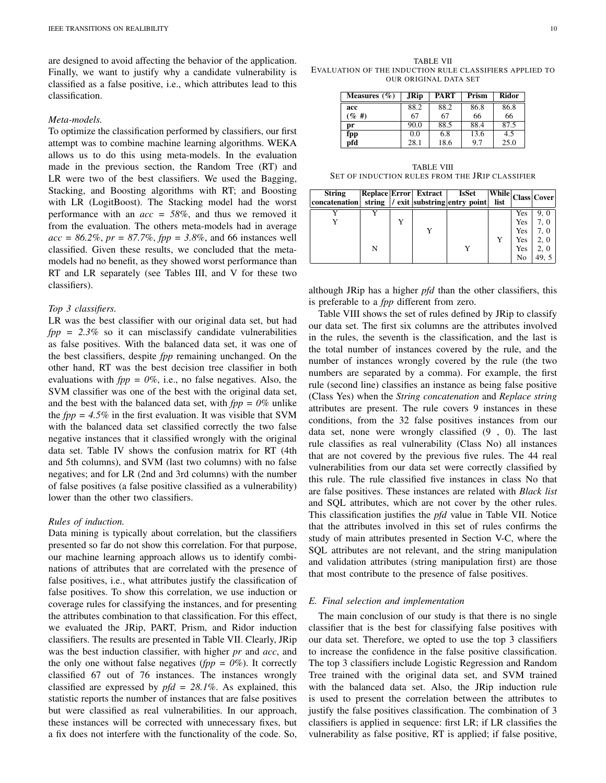are designed to avoid affecting the behavior of the application. Finally, we want to justify why a candidate vulnerability is classified as a false positive, i.e., which attributes lead to this classification.

## *Meta-models.*

To optimize the classification performed by classifiers, our first attempt was to combine machine learning algorithms. WEKA allows us to do this using meta-models. In the evaluation made in the previous section, the Random Tree (RT) and LR were two of the best classifiers. We used the Bagging, Stacking, and Boosting algorithms with RT; and Boosting with LR (LogitBoost). The Stacking model had the worst performance with an *acc = 58%*, and thus we removed it from the evaluation. The others meta-models had in average *acc = 86.2%*, *pr = 87.7%*, *fpp = 3.8%*, and 66 instances well classified. Given these results, we concluded that the metamodels had no benefit, as they showed worst performance than RT and LR separately (see Tables III, and V for these two classifiers).

# *Top 3 classifiers.*

LR was the best classifier with our original data set, but had  $fpp = 2.3\%$  so it can misclassify candidate vulnerabilities as false positives. With the balanced data set, it was one of the best classifiers, despite *fpp* remaining unchanged. On the other hand, RT was the best decision tree classifier in both evaluations with  $fpp = 0\%$ , i.e., no false negatives. Also, the SVM classifier was one of the best with the original data set, and the best with the balanced data set, with *fpp = 0%* unlike the *fpp = 4.5%* in the first evaluation. It was visible that SVM with the balanced data set classified correctly the two false negative instances that it classified wrongly with the original data set. Table IV shows the confusion matrix for RT (4th and 5th columns), and SVM (last two columns) with no false negatives; and for LR (2nd and 3rd columns) with the number of false positives (a false positive classified as a vulnerability) lower than the other two classifiers.

# *Rules of induction.*

Data mining is typically about correlation, but the classifiers presented so far do not show this correlation. For that purpose, our machine learning approach allows us to identify combinations of attributes that are correlated with the presence of false positives, i.e., what attributes justify the classification of false positives. To show this correlation, we use induction or coverage rules for classifying the instances, and for presenting the attributes combination to that classification. For this effect, we evaluated the JRip, PART, Prism, and Ridor induction classifiers. The results are presented in Table VII. Clearly, JRip was the best induction classifier, with higher *pr* and *acc*, and the only one without false negatives ( $fpp = 0\%$ ). It correctly classified 67 out of 76 instances. The instances wrongly classified are expressed by *pfd = 28.1%*. As explained, this statistic reports the number of instances that are false positives but were classified as real vulnerabilities. In our approach, these instances will be corrected with unnecessary fixes, but a fix does not interfere with the functionality of the code. So,

TABLE VII EVALUATION OF THE INDUCTION RULE CLASSIFIERS APPLIED TO OUR ORIGINAL DATA SET

| Measures $(\% )$ | <b>JRip</b> | <b>PART</b> | Prism | <b>Ridor</b> |
|------------------|-------------|-------------|-------|--------------|
| acc              | 88.2        | 88.2        | 86.8  | 86.8         |
| $( \%  # )$      | 67          | 67          | 66    | 66           |
| pr               | 90.0        | 88.5        | 88.4  | 87.5         |
| fpp              | 0.0         | 6.8         | 13.6  | 4.5          |
| pfd              | 28.1        | 18.6        | 9.7   | 25.0         |

TABLE VIII SET OF INDUCTION RULES FROM THE JRIP CLASSIFIER

| String<br>concatenation string / exit substring entry point |  | Replace Error Extract | <b>IsSet</b> | $ \overline{\text{While}} $ Class Cover<br>list |     |      |
|-------------------------------------------------------------|--|-----------------------|--------------|-------------------------------------------------|-----|------|
|                                                             |  |                       |              |                                                 | Yes |      |
|                                                             |  |                       |              |                                                 | Yes |      |
|                                                             |  |                       |              |                                                 | Yes |      |
|                                                             |  |                       |              |                                                 | Yes | 2, 0 |
|                                                             |  |                       |              |                                                 | Yes | 2, 0 |
|                                                             |  |                       |              |                                                 | No  |      |

although JRip has a higher *pfd* than the other classifiers, this is preferable to a *fpp* different from zero.

Table VIII shows the set of rules defined by JRip to classify our data set. The first six columns are the attributes involved in the rules, the seventh is the classification, and the last is the total number of instances covered by the rule, and the number of instances wrongly covered by the rule (the two numbers are separated by a comma). For example, the first rule (second line) classifies an instance as being false positive (Class Yes) when the *String concatenation* and *Replace string* attributes are present. The rule covers 9 instances in these conditions, from the 32 false positives instances from our data set, none were wrongly classified (9 , 0). The last rule classifies as real vulnerability (Class No) all instances that are not covered by the previous five rules. The 44 real vulnerabilities from our data set were correctly classified by this rule. The rule classified five instances in class No that are false positives. These instances are related with *Black list* and SQL attributes, which are not cover by the other rules. This classification justifies the *pfd* value in Table VII. Notice that the attributes involved in this set of rules confirms the study of main attributes presented in Section V-C, where the SQL attributes are not relevant, and the string manipulation and validation attributes (string manipulation first) are those that most contribute to the presence of false positives.

#### *E. Final selection and implementation*

The main conclusion of our study is that there is no single classifier that is the best for classifying false positives with our data set. Therefore, we opted to use the top 3 classifiers to increase the confidence in the false positive classification. The top 3 classifiers include Logistic Regression and Random Tree trained with the original data set, and SVM trained with the balanced data set. Also, the JRip induction rule is used to present the correlation between the attributes to justify the false positives classification. The combination of 3 classifiers is applied in sequence: first LR; if LR classifies the vulnerability as false positive, RT is applied; if false positive,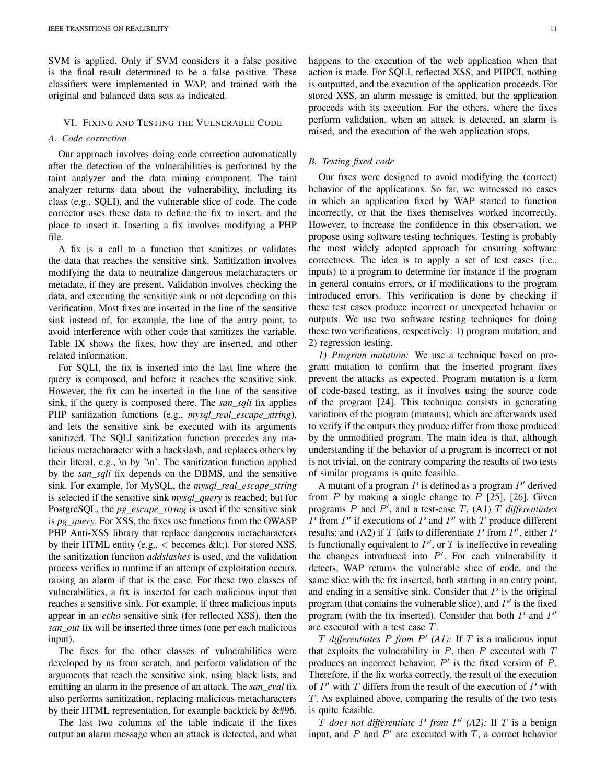SVM is applied. Only if SVM considers it a false positive is the final result determined to be a false positive. These classifiers were implemented in WAP, and trained with the original and balanced data sets as indicated.

#### VI. FIXING AND TESTING THE VULNERABLE CODE

## *A. Code correction*

Our approach involves doing code correction automatically after the detection of the vulnerabilities is performed by the taint analyzer and the data mining component. The taint analyzer returns data about the vulnerability, including its class (e.g., SQLI), and the vulnerable slice of code. The code corrector uses these data to define the fix to insert, and the place to insert it. Inserting a fix involves modifying a PHP file.

A fix is a call to a function that sanitizes or validates the data that reaches the sensitive sink. Sanitization involves modifying the data to neutralize dangerous metacharacters or metadata, if they are present. Validation involves checking the data, and executing the sensitive sink or not depending on this verification. Most fixes are inserted in the line of the sensitive sink instead of, for example, the line of the entry point, to avoid interference with other code that sanitizes the variable. Table IX shows the fixes, how they are inserted, and other related information.

For SQLI, the fix is inserted into the last line where the query is composed, and before it reaches the sensitive sink. However, the fix can be inserted in the line of the sensitive sink, if the query is composed there. The *san\_sqli* fix applies PHP sanitization functions (e.g., *mysql\_real\_escape\_string*), and lets the sensitive sink be executed with its arguments sanitized. The SQLI sanitization function precedes any malicious metacharacter with a backslash, and replaces others by their literal, e.g., \n by '\n'. The sanitization function applied by the *san\_sqli* fix depends on the DBMS, and the sensitive sink. For example, for MySQL, the *mysql\_real\_escape\_string* is selected if the sensitive sink *mysql\_query* is reached; but for PostgreSQL, the *pg\_escape\_string* is used if the sensitive sink is *pg\_query*. For XSS, the fixes use functions from the OWASP PHP Anti-XSS library that replace dangerous metacharacters by their HTML entity (e.g.,  $\lt$  becomes <). For stored XSS, the sanitization function *addslashes* is used, and the validation process verifies in runtime if an attempt of exploitation occurs, raising an alarm if that is the case. For these two classes of vulnerabilities, a fix is inserted for each malicious input that reaches a sensitive sink. For example, if three malicious inputs appear in an *echo* sensitive sink (for reflected XSS), then the *san\_out* fix will be inserted three times (one per each malicious input).

The fixes for the other classes of vulnerabilities were developed by us from scratch, and perform validation of the arguments that reach the sensitive sink, using black lists, and emitting an alarm in the presence of an attack. The *san\_eval* fix also performs sanitization, replacing malicious metacharacters by their HTML representation, for example backtick by  $&\#96$ .

The last two columns of the table indicate if the fixes output an alarm message when an attack is detected, and what happens to the execution of the web application when that action is made. For SQLI, reflected XSS, and PHPCI, nothing is outputted, and the execution of the application proceeds. For stored XSS, an alarm message is emitted, but the application proceeds with its execution. For the others, where the fixes perform validation, when an attack is detected, an alarm is raised, and the execution of the web application stops.

# *B. Testing fixed code*

Our fixes were designed to avoid modifying the (correct) behavior of the applications. So far, we witnessed no cases in which an application fixed by WAP started to function incorrectly, or that the fixes themselves worked incorrectly. However, to increase the confidence in this observation, we propose using software testing techniques. Testing is probably the most widely adopted approach for ensuring software correctness. The idea is to apply a set of test cases (i.e., inputs) to a program to determine for instance if the program in general contains errors, or if modifications to the program introduced errors. This verification is done by checking if these test cases produce incorrect or unexpected behavior or outputs. We use two software testing techniques for doing these two verifications, respectively: 1) program mutation, and 2) regression testing.

*1) Program mutation:* We use a technique based on program mutation to confirm that the inserted program fixes prevent the attacks as expected. Program mutation is a form of code-based testing, as it involves using the source code of the program [24]. This technique consists in generating variations of the program (mutants), which are afterwards used to verify if the outputs they produce differ from those produced by the unmodified program. The main idea is that, although understanding if the behavior of a program is incorrect or not is not trivial, on the contrary comparing the results of two tests of similar programs is quite feasible.

A mutant of a program  $P$  is defined as a program  $P'$  derived from  $P$  by making a single change to  $P$  [25], [26]. Given programs  $P$  and  $P'$ , and a test-case  $T$ , (A1)  $T$  *differentiates* P from  $P'$  if executions of P and P' with T produce different results; and (A2) if  $T$  fails to differentiate  $P$  from  $P'$ , either  $P$ is functionally equivalent to  $P'$ , or  $T$  is ineffective in revealing the changes introduced into  $P'$ . For each vulnerability it detects, WAP returns the vulnerable slice of code, and the same slice with the fix inserted, both starting in an entry point, and ending in a sensitive sink. Consider that  $P$  is the original program (that contains the vulnerable slice), and  $P'$  is the fixed program (with the fix inserted). Consider that both  $P$  and  $P'$ are executed with a test case T.

T *differentiates* P *from* P 0 *(A1):* If T is a malicious input that exploits the vulnerability in  $P$ , then  $P$  executed with  $T$ produces an incorrect behavior.  $P'$  is the fixed version of  $P$ . Therefore, if the fix works correctly, the result of the execution of  $P'$  with  $T$  differs from the result of the execution of  $P$  with T. As explained above, comparing the results of the two tests is quite feasible.

T *does not differentiate* P *from* P 0 *(A2):* If T is a benign input, and  $P$  and  $P'$  are executed with  $T$ , a correct behavior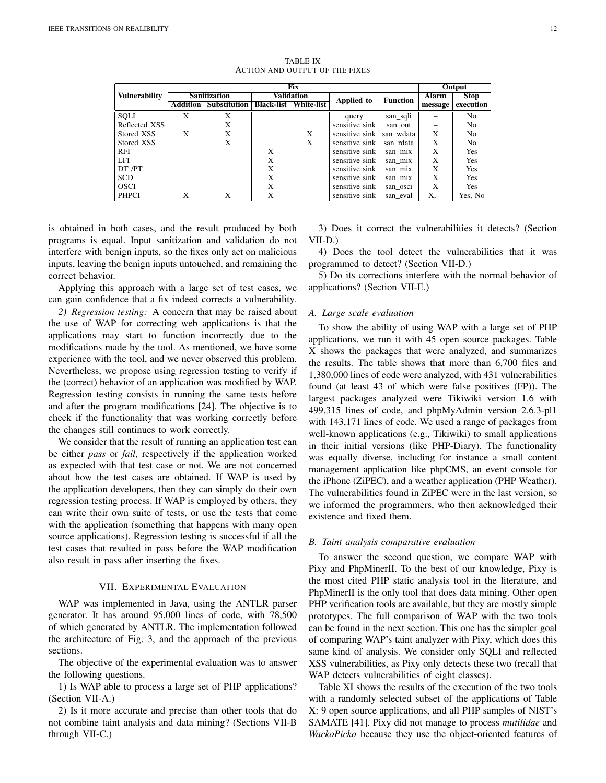|                      |          |                                            |                   | <b>Fix</b>                      |                |                 | Output           |                          |
|----------------------|----------|--------------------------------------------|-------------------|---------------------------------|----------------|-----------------|------------------|--------------------------|
| <b>Vulnerability</b> | Addition | <b>Sanitization</b><br><b>Substitution</b> | <b>Black-list</b> | Validation<br><b>White-list</b> | Applied to     | <b>Function</b> | Alarm<br>message | <b>Stop</b><br>execution |
| <b>SQLI</b>          | X        | X                                          |                   |                                 | query          | san_sqli        |                  | No                       |
| Reflected XSS        |          | X                                          |                   |                                 | sensitive sink | san out         |                  | No                       |
| Stored XSS           | X        | X                                          |                   | X                               | sensitive sink | san_wdata       | X                | No                       |
| Stored XSS           |          | X                                          |                   | X                               | sensitive sink | san rdata       | X                | No                       |
| <b>RFI</b>           |          |                                            | X                 |                                 | sensitive sink | san mix         | X                | Yes                      |
| LFI                  |          |                                            | X                 |                                 | sensitive sink | san mix         | X                | Yes                      |
| DT /PT               |          |                                            | X                 |                                 | sensitive sink | san mix         | X                | Yes                      |
| <b>SCD</b>           |          |                                            | X                 |                                 | sensitive sink | san mix         | X                | Yes                      |
| <b>OSCI</b>          |          |                                            | X                 |                                 | sensitive sink | san osci        | X                | Yes                      |
| PHPCI                | X        | X                                          | X                 |                                 | sensitive sink | san eval        | $X -$            | Yes. No                  |

TABLE IX ACTION AND OUTPUT OF THE FIXES

is obtained in both cases, and the result produced by both programs is equal. Input sanitization and validation do not interfere with benign inputs, so the fixes only act on malicious inputs, leaving the benign inputs untouched, and remaining the correct behavior.

Applying this approach with a large set of test cases, we can gain confidence that a fix indeed corrects a vulnerability.

*2) Regression testing:* A concern that may be raised about the use of WAP for correcting web applications is that the applications may start to function incorrectly due to the modifications made by the tool. As mentioned, we have some experience with the tool, and we never observed this problem. Nevertheless, we propose using regression testing to verify if the (correct) behavior of an application was modified by WAP. Regression testing consists in running the same tests before and after the program modifications [24]. The objective is to check if the functionality that was working correctly before the changes still continues to work correctly.

We consider that the result of running an application test can be either *pass* or *fail*, respectively if the application worked as expected with that test case or not. We are not concerned about how the test cases are obtained. If WAP is used by the application developers, then they can simply do their own regression testing process. If WAP is employed by others, they can write their own suite of tests, or use the tests that come with the application (something that happens with many open source applications). Regression testing is successful if all the test cases that resulted in pass before the WAP modification also result in pass after inserting the fixes.

# VII. EXPERIMENTAL EVALUATION

WAP was implemented in Java, using the ANTLR parser generator. It has around 95,000 lines of code, with 78,500 of which generated by ANTLR. The implementation followed the architecture of Fig. 3, and the approach of the previous sections.

The objective of the experimental evaluation was to answer the following questions.

1) Is WAP able to process a large set of PHP applications? (Section VII-A.)

2) Is it more accurate and precise than other tools that do not combine taint analysis and data mining? (Sections VII-B through VII-C.)

3) Does it correct the vulnerabilities it detects? (Section VII-D.)

4) Does the tool detect the vulnerabilities that it was programmed to detect? (Section VII-D.)

5) Do its corrections interfere with the normal behavior of applications? (Section VII-E.)

## *A. Large scale evaluation*

To show the ability of using WAP with a large set of PHP applications, we run it with 45 open source packages. Table X shows the packages that were analyzed, and summarizes the results. The table shows that more than 6,700 files and 1,380,000 lines of code were analyzed, with 431 vulnerabilities found (at least 43 of which were false positives (FP)). The largest packages analyzed were Tikiwiki version 1.6 with 499,315 lines of code, and phpMyAdmin version 2.6.3-pl1 with 143,171 lines of code. We used a range of packages from well-known applications (e.g., Tikiwiki) to small applications in their initial versions (like PHP-Diary). The functionality was equally diverse, including for instance a small content management application like phpCMS, an event console for the iPhone (ZiPEC), and a weather application (PHP Weather). The vulnerabilities found in ZiPEC were in the last version, so we informed the programmers, who then acknowledged their existence and fixed them.

## *B. Taint analysis comparative evaluation*

To answer the second question, we compare WAP with Pixy and PhpMinerII. To the best of our knowledge, Pixy is the most cited PHP static analysis tool in the literature, and PhpMinerII is the only tool that does data mining. Other open PHP verification tools are available, but they are mostly simple prototypes. The full comparison of WAP with the two tools can be found in the next section. This one has the simpler goal of comparing WAP's taint analyzer with Pixy, which does this same kind of analysis. We consider only SQLI and reflected XSS vulnerabilities, as Pixy only detects these two (recall that WAP detects vulnerabilities of eight classes).

Table XI shows the results of the execution of the two tools with a randomly selected subset of the applications of Table X: 9 open source applications, and all PHP samples of NIST's SAMATE [41]. Pixy did not manage to process *mutilidae* and *WackoPicko* because they use the object-oriented features of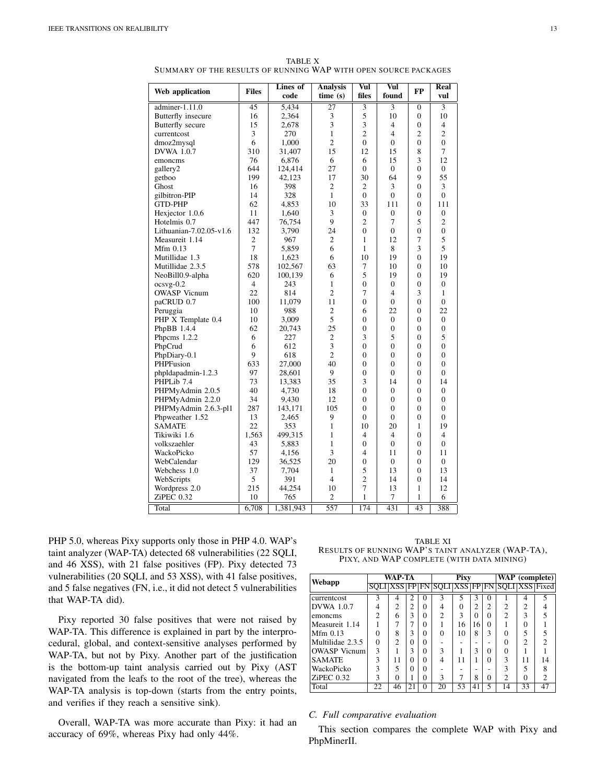| Web application         | <b>Files</b>   | Lines of<br>code | <b>Analysis</b><br>time(s) | Vul<br>files   | Vul<br>found             | FP             | Real<br>vul               |
|-------------------------|----------------|------------------|----------------------------|----------------|--------------------------|----------------|---------------------------|
|                         |                |                  |                            |                |                          |                |                           |
| $adminer-1.11.0$        | 45             | 5,434            | $\overline{27}$            | $\overline{3}$ | $\overline{3}$           | $\overline{0}$ | $\overline{\overline{3}}$ |
| Butterfly insecure      | 16             | 2,364            | 3                          | 5              | 10                       | 0              | 10                        |
| Butterfly secure        | 15             | 2,678            | 3                          | 3              | $\overline{4}$           | $\overline{0}$ | $\overline{4}$            |
| currentcost             | 3              | 270              | $\mathbf{1}$               | $\overline{c}$ | $\overline{4}$           | $\overline{c}$ | $\overline{c}$            |
| dmoz2mysql              | 6              | 1,000            | $\overline{c}$             | $\overline{0}$ | $\overline{0}$           | $\overline{0}$ | $\overline{0}$            |
| <b>DVWA 1.0.7</b>       | 310            | 31,407           | 15                         | 12             | 15                       | 8              | 7                         |
| emoncms                 | 76             | 6,876            | 6                          | 6              | 15                       | 3              | 12                        |
| gallery <sub>2</sub>    | 644            | 124,414          | 27                         | $\Omega$       | $\Omega$                 | $\theta$       | $\mathbf{0}$              |
| getboo                  | 199            | 42,123           | 17                         | 30             | 64                       | 9              | 55                        |
| Ghost                   | 16             | 398              | $\overline{c}$             | $\overline{c}$ | 3                        | $\overline{0}$ | 3                         |
| gilbitron-PIP           | 14             | 328              | $\mathbf{1}$               | $\overline{0}$ | $\overline{0}$           | $\overline{0}$ | $\boldsymbol{0}$          |
| <b>GTD-PHP</b>          | 62             | 4,853            | 10                         | 33             | 111                      | $\theta$       | 111                       |
| Hexjector 1.0.6         | 11             | 1,640            | 3                          | $\mathbf{0}$   | $\overline{0}$           | $\overline{0}$ | $\overline{0}$            |
| Hotelmis 0.7            | 447            | 76,754           | 9                          | $\overline{c}$ | 7                        | 5              | $\overline{c}$            |
| Lithuanian-7.02.05-v1.6 | 132            | 3,790            | 24                         | $\overline{0}$ | $\overline{0}$           | $\overline{0}$ | $\overline{0}$            |
| Measureit 1.14          | 2              | 967              | $\overline{c}$             | 1              | 12                       | 7              | 5                         |
| Mfm 0.13                | $\overline{7}$ | 5,859            | 6                          | $\mathbf{1}$   | 8                        | 3              | 5                         |
| Mutillidae 1.3          | 18             | 1,623            | 6                          | 10             | 19                       | $\theta$       | 19                        |
| Mutillidae 2.3.5        | 578            | 102,567          | 63                         | 7              | 10                       | $\overline{0}$ | 10                        |
| NeoBill0.9-alpha        | 620            | 100,139          | 6                          | 5              | 19                       | $\overline{0}$ | 19                        |
| $ocsvg-0.2$             | $\overline{4}$ | 243              | $\mathbf{1}$               | $\overline{0}$ | $\overline{0}$           | $\overline{0}$ | $\mathbf{0}$              |
| <b>OWASP</b> Vicnum     | 22             | 814              | $\overline{c}$             | 7              | $\overline{\mathcal{L}}$ | 3              | $\mathbf{1}$              |
| paCRUD 0.7              | 100            | 11,079           | 11                         | $\overline{0}$ | $\boldsymbol{0}$         | $\overline{0}$ | $\boldsymbol{0}$          |
| Peruggia                | 10             | 988              | $\overline{c}$             | 6              | 22                       | $\theta$       | 22                        |
| PHP X Template 0.4      | 10             | 3,009            | 5                          | $\mathbf{0}$   | $\overline{0}$           | $\theta$       | $\overline{0}$            |
| PhpBB 1.4.4             | 62             | 20,743           | 25                         | $\overline{0}$ | $\overline{0}$           | $\overline{0}$ | $\overline{0}$            |
| Phpcms 1.2.2            | 6              | 227              | $\overline{2}$             | 3              | 5                        | $\overline{0}$ | 5                         |
| PhpCrud                 | 6              | 612              | 3                          | $\theta$       | $\overline{0}$           | $\overline{0}$ | $\overline{0}$            |
| PhpDiary-0.1            | 9              | 618              | $\overline{c}$             | $\overline{0}$ | $\overline{0}$           | $\overline{0}$ | $\overline{0}$            |
| PHPFusion               | 633            | 27,000           | 40                         | $\overline{0}$ | $\overline{0}$           | $\overline{0}$ | $\overline{0}$            |
| phpldapadmin-1.2.3      | 97             | 28,601           | 9                          | $\theta$       | $\theta$                 | $\theta$       | $\Omega$                  |
| PHPLib 7.4              | 73             | 13,383           | 35                         | 3              | 14                       | $\overline{0}$ | 14                        |
| PHPMyAdmin 2.0.5        | 40             | 4,730            | 18                         | $\theta$       | $\theta$                 | $\theta$       | $\theta$                  |
| PHPMyAdmin 2.2.0        | 34             | 9,430            | 12                         | $\overline{0}$ | $\overline{0}$           | $\overline{0}$ | $\overline{0}$            |
| PHPMyAdmin 2.6.3-pl1    | 287            | 143,171          | 105                        | $\theta$       | $\theta$                 | $\theta$       | $\theta$                  |
| Phpweather 1.52         | 13             | 2,465            | 9                          | $\overline{0}$ | $\overline{0}$           | $\overline{0}$ | $\overline{0}$            |
| <b>SAMATE</b>           | 22             | 353              | $\mathbf{1}$               | 10             | 20                       | $\mathbf{1}$   | 19                        |
| Tikiwiki 1.6            | 1,563          | 499,315          | $\mathbf{1}$               | $\overline{4}$ | $\overline{4}$           | $\overline{0}$ | $\overline{4}$            |
| volkszaehler            | 43             | 5,883            | $\mathbf{1}$               | $\overline{0}$ | $\mathbf{0}$             | $\theta$       | $\Omega$                  |
| WackoPicko              | 57             | 4,156            | 3                          | $\overline{4}$ | 11                       | $\overline{0}$ | 11                        |
| WebCalendar             | 129            | 36,525           | 20                         | $\overline{0}$ | $\overline{0}$           | $\theta$       | $\Omega$                  |
| Webchess 1.0            | 37             | 7,704            | $\mathbf{1}$               | 5              | 13                       | $\overline{0}$ | 13                        |
| WebScripts              | 5              | 391              | $\overline{\mathcal{L}}$   | $\overline{c}$ | 14                       | $\theta$       | 14                        |
| Wordpress 2.0           | 215            | 44,254           | 10                         | 7              | 13                       | $\mathbf{1}$   | 12                        |
| <b>ZiPEC 0.32</b>       | 10             | 765              | $\overline{c}$             | 1              | 7                        | $\mathbf{1}$   | 6                         |
| Total                   | 6,708          | 1,381,943        | 557                        | 174            | 431                      | 43             | 388                       |

TABLE X SUMMARY OF THE RESULTS OF RUNNING WAP WITH OPEN SOURCE PACKAGES

PHP 5.0, whereas Pixy supports only those in PHP 4.0. WAP's taint analyzer (WAP-TA) detected 68 vulnerabilities (22 SQLI, and 46 XSS), with 21 false positives (FP). Pixy detected 73 vulnerabilities (20 SQLI, and 53 XSS), with 41 false positives, and 5 false negatives (FN, i.e., it did not detect 5 vulnerabilities that WAP-TA did).

Pixy reported 30 false positives that were not raised by WAP-TA. This difference is explained in part by the interprocedural, global, and context-sensitive analyses performed by WAP-TA, but not by Pixy. Another part of the justification is the bottom-up taint analysis carried out by Pixy (AST navigated from the leafs to the root of the tree), whereas the WAP-TA analysis is top-down (starts from the entry points, and verifies if they reach a sensitive sink).

Overall, WAP-TA was more accurate than Pixy: it had an accuracy of 69%, whereas Pixy had only 44%.

TABLE XI RESULTS OF RUNNING WAP'S TAINT ANALYZER (WAP-TA), PIXY, AND WAP COMPLETE (WITH DATA MINING)

| Webapp              | WAP-TA |    |                |   | Pixy                          |    |    |                | WAP (complete) |    |                |
|---------------------|--------|----|----------------|---|-------------------------------|----|----|----------------|----------------|----|----------------|
|                     |        |    |                |   | SQLI XSS FP FN SQLI XSS FP FN |    |    |                |                |    | SOLI XSS Fixed |
| currentcost         | 3      | 4  | $\overline{c}$ | 0 | 3                             | 5  | 3  | $\Omega$       |                | 4  |                |
| DVWA 1.0.7          |        | っ  | ∍              | 0 |                               | 0  | ∍  | $\overline{c}$ | ↑              | C  |                |
| emoncms             | 2      | 6  | 3              | 0 | $\mathfrak{D}$                | 3  | 0  | $\Omega$       | $\mathfrak{D}$ | ٩  |                |
| Measureit 1.14      |        |    |                | 0 |                               | 16 | 16 | $\Omega$       |                | 0  |                |
| Mfm $0.13$          |        | 8  | 3              | 0 | $\Omega$                      | 10 | 8  | 3              |                | 5  |                |
| Multilidae 2.3.5    |        | ↑  | 0              | 0 |                               |    |    |                |                | ∍  |                |
| <b>OWASP</b> Vicnum | 3      |    | ٩              | 0 | 3                             |    | 3  | $\Omega$       | 0              |    |                |
| <b>SAMATE</b>       | ٩      | 11 | 0              | 0 | 4                             | 11 |    | $\Omega$       | ٩              | 11 | 14             |
| WackoPicko          | 3      | 5  | 0              | 0 |                               |    | -  |                | ٩              | 5  | 8              |
| ZiPEC 0.32          | ٩      | 0  |                | 0 | 3                             | 7  | 8  | $\Omega$       | $\overline{c}$ | 0  | $\mathfrak{D}$ |
| Total               | 22     | 46 |                | 0 | 20                            | 53 | 41 | 5              | 14             | 33 | 47             |

## *C. Full comparative evaluation*

This section compares the complete WAP with Pixy and PhpMinerII.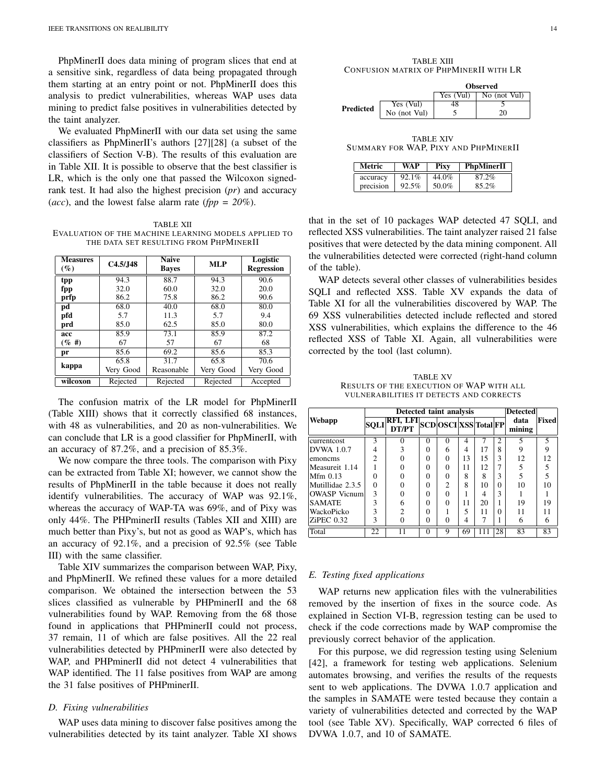PhpMinerII does data mining of program slices that end at a sensitive sink, regardless of data being propagated through them starting at an entry point or not. PhpMinerII does this analysis to predict vulnerabilities, whereas WAP uses data mining to predict false positives in vulnerabilities detected by the taint analyzer.

We evaluated PhpMinerII with our data set using the same classifiers as PhpMinerII's authors [27][28] (a subset of the classifiers of Section V-B). The results of this evaluation are in Table XII. It is possible to observe that the best classifier is LR, which is the only one that passed the Wilcoxon signedrank test. It had also the highest precision (*pr*) and accuracy (*acc*), and the lowest false alarm rate (*fpp = 20%*).

TABLE XII EVALUATION OF THE MACHINE LEARNING MODELS APPLIED TO THE DATA SET RESULTING FROM PHPMINERII

| <b>Measures</b><br>$(\%)$ | C4.5/J48  | <b>Naive</b><br><b>Baves</b> | <b>MLP</b> | Logistic<br><b>Regression</b> |
|---------------------------|-----------|------------------------------|------------|-------------------------------|
| tpp                       | 94.3      | 88.7                         | 94.3       | 90.6                          |
| fpp                       | 32.0      | 60.0                         | 32.0       | 20.0                          |
| prfp                      | 86.2      | 75.8                         | 86.2       | 90.6                          |
| pd                        | 68.0      | 40.0                         | 68.0       | 80.0                          |
| pfd                       | 5.7       | 11.3                         | 5.7        | 9.4                           |
| prd                       | 85.0      | 62.5                         | 85.0       | 80.0                          |
| acc                       | 85.9      | 73.1                         | 85.9       | 87.2                          |
| $( \%  # )$               | 67        | 57                           | 67         | 68                            |
| pr                        | 85.6      | 69.2                         | 85.6       | 85.3                          |
|                           | 65.8      | 31.7                         | 65.8       | 70.6                          |
| kappa                     | Very Good | Reasonable                   | Very Good  | Very Good                     |
| wilcoxon                  | Rejected  | Rejected                     | Rejected   | Accepted                      |

The confusion matrix of the LR model for PhpMinerII (Table XIII) shows that it correctly classified 68 instances, with 48 as vulnerabilities, and 20 as non-vulnerabilities. We can conclude that LR is a good classifier for PhpMinerII, with an accuracy of 87.2%, and a precision of 85.3%.

We now compare the three tools. The comparison with Pixy can be extracted from Table XI; however, we cannot show the results of PhpMinerII in the table because it does not really identify vulnerabilities. The accuracy of WAP was 92.1%, whereas the accuracy of WAP-TA was 69%, and of Pixy was only 44%. The PHPminerII results (Tables XII and XIII) are much better than Pixy's, but not as good as WAP's, which has an accuracy of 92.1%, and a precision of 92.5% (see Table III) with the same classifier.

Table XIV summarizes the comparison between WAP, Pixy, and PhpMinerII. We refined these values for a more detailed comparison. We obtained the intersection between the 53 slices classified as vulnerable by PHPminerII and the 68 vulnerabilities found by WAP. Removing from the 68 those found in applications that PHPminerII could not process, 37 remain, 11 of which are false positives. All the 22 real vulnerabilities detected by PHPminerII were also detected by WAP, and PHPminerII did not detect 4 vulnerabilities that WAP identified. The 11 false positives from WAP are among the 31 false positives of PHPminerII.

## *D. Fixing vulnerabilities*

WAP uses data mining to discover false positives among the vulnerabilities detected by its taint analyzer. Table XI shows

TABLE XIII CONFUSION MATRIX OF PHPMINERII WITH LR

|                  |              | <b>Observed</b> |              |  |  |  |
|------------------|--------------|-----------------|--------------|--|--|--|
|                  |              | Yes (Vul)       | No (not Vul) |  |  |  |
| <b>Predicted</b> | Yes (Vul)    | 48              |              |  |  |  |
|                  | No (not Vul) |                 |              |  |  |  |

TABLE XIV SUMMARY FOR WAP, PIXY AND PHPMINERII

| Metric    | WAP   | Pixv  | PhpMinerII |
|-----------|-------|-------|------------|
| accuracy  | 92.1% | 44.0% | 87.2%      |
| precision | 92.5% | 50.0% | 85.2%      |

that in the set of 10 packages WAP detected 47 SQLI, and reflected XSS vulnerabilities. The taint analyzer raised 21 false positives that were detected by the data mining component. All the vulnerabilities detected were corrected (right-hand column of the table).

WAP detects several other classes of vulnerabilities besides SQLI and reflected XSS. Table XV expands the data of Table XI for all the vulnerabilities discovered by WAP. The 69 XSS vulnerabilities detected include reflected and stored XSS vulnerabilities, which explains the difference to the 46 reflected XSS of Table XI. Again, all vulnerabilities were corrected by the tool (last column).

TABLE XV RESULTS OF THE EXECUTION OF WAP WITH ALL VULNERABILITIES IT DETECTS AND CORRECTS

|                   |                 | Detected taint analysis | <b>Detected</b> |                       |    |     |                |                |       |
|-------------------|-----------------|-------------------------|-----------------|-----------------------|----|-----|----------------|----------------|-------|
| Webapp            | SQLI            | RFI. LFI<br>DT/PT       |                 | SCD OSCI XSS Total FP |    |     |                | data<br>mining | Fixed |
| currentcost       | 3               |                         | $\Omega$        | 0                     | 4  |     | $\mathfrak{D}$ |                | 5     |
| <b>DVWA 1.0.7</b> | 4               |                         | 0               | 6                     | 4  | 17  | 8              |                |       |
| emonems           | $\overline{c}$  |                         | 0               | 0                     | 13 | 15  | 3              | 12             | 12    |
| Measureit 1.14    |                 |                         | 0               | 0                     | 11 | 12  |                |                | 5     |
| Mfm $0.13$        | 0               |                         | 0               | 0                     | 8  | 8   | 3              | 5              |       |
| Mutillidae 2.3.5  | $\Omega$        |                         |                 | 2                     | 8  | 10  | 0              | 10             | 10    |
| OWASP_Vicnum      | 3               |                         | 0               | 0                     |    | 4   | 3              |                |       |
| <b>SAMATE</b>     | 3               | 6                       |                 | ∩                     | 11 | 20  |                | 19             | 19    |
| <b>WackoPicko</b> | 3               | $\mathfrak{D}$          | 0               |                       | 5  | 11  | 0              | 11             | 11    |
| <b>ZiPEC 0.32</b> | 3               | 0                       | 0               | 0                     | 4  |     |                |                | 6     |
| Total             | $2\overline{2}$ | 11                      | $\Omega$        | 9                     | 69 | 111 | 28             | 83             | 83    |

## *E. Testing fixed applications*

WAP returns new application files with the vulnerabilities removed by the insertion of fixes in the source code. As explained in Section VI-B, regression testing can be used to check if the code corrections made by WAP compromise the previously correct behavior of the application.

For this purpose, we did regression testing using Selenium [42], a framework for testing web applications. Selenium automates browsing, and verifies the results of the requests sent to web applications. The DVWA 1.0.7 application and the samples in SAMATE were tested because they contain a variety of vulnerabilities detected and corrected by the WAP tool (see Table XV). Specifically, WAP corrected 6 files of DVWA 1.0.7, and 10 of SAMATE.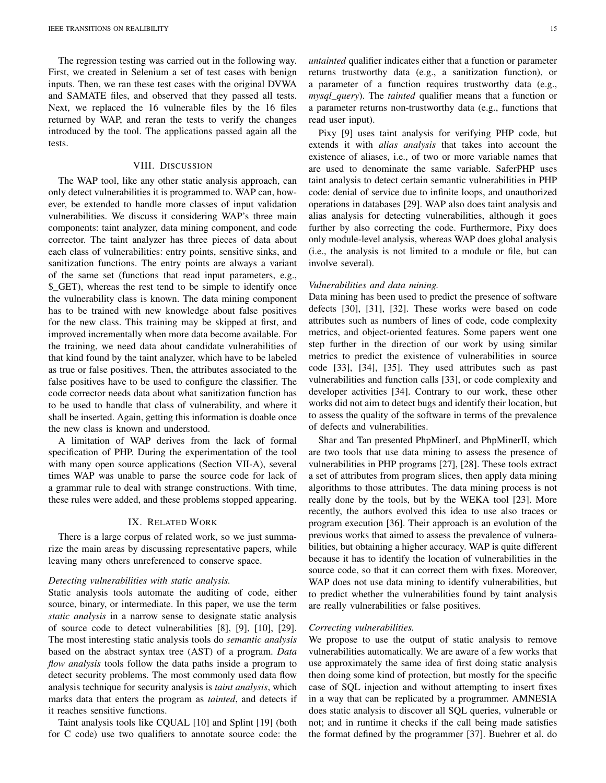The regression testing was carried out in the following way. First, we created in Selenium a set of test cases with benign inputs. Then, we ran these test cases with the original DVWA and SAMATE files, and observed that they passed all tests. Next, we replaced the 16 vulnerable files by the 16 files returned by WAP, and reran the tests to verify the changes introduced by the tool. The applications passed again all the tests.

# VIII. DISCUSSION

The WAP tool, like any other static analysis approach, can only detect vulnerabilities it is programmed to. WAP can, however, be extended to handle more classes of input validation vulnerabilities. We discuss it considering WAP's three main components: taint analyzer, data mining component, and code corrector. The taint analyzer has three pieces of data about each class of vulnerabilities: entry points, sensitive sinks, and sanitization functions. The entry points are always a variant of the same set (functions that read input parameters, e.g., \$\_GET), whereas the rest tend to be simple to identify once the vulnerability class is known. The data mining component has to be trained with new knowledge about false positives for the new class. This training may be skipped at first, and improved incrementally when more data become available. For the training, we need data about candidate vulnerabilities of that kind found by the taint analyzer, which have to be labeled as true or false positives. Then, the attributes associated to the false positives have to be used to configure the classifier. The code corrector needs data about what sanitization function has to be used to handle that class of vulnerability, and where it shall be inserted. Again, getting this information is doable once the new class is known and understood.

A limitation of WAP derives from the lack of formal specification of PHP. During the experimentation of the tool with many open source applications (Section VII-A), several times WAP was unable to parse the source code for lack of a grammar rule to deal with strange constructions. With time, these rules were added, and these problems stopped appearing.

# IX. RELATED WORK

There is a large corpus of related work, so we just summarize the main areas by discussing representative papers, while leaving many others unreferenced to conserve space.

## *Detecting vulnerabilities with static analysis.*

Static analysis tools automate the auditing of code, either source, binary, or intermediate. In this paper, we use the term *static analysis* in a narrow sense to designate static analysis of source code to detect vulnerabilities [8], [9], [10], [29]. The most interesting static analysis tools do *semantic analysis* based on the abstract syntax tree (AST) of a program. *Data flow analysis* tools follow the data paths inside a program to detect security problems. The most commonly used data flow analysis technique for security analysis is *taint analysis*, which marks data that enters the program as *tainted*, and detects if it reaches sensitive functions.

Taint analysis tools like CQUAL [10] and Splint [19] (both for C code) use two qualifiers to annotate source code: the *untainted* qualifier indicates either that a function or parameter returns trustworthy data (e.g., a sanitization function), or a parameter of a function requires trustworthy data (e.g., *mysql\_query*). The *tainted* qualifier means that a function or a parameter returns non-trustworthy data (e.g., functions that read user input).

Pixy [9] uses taint analysis for verifying PHP code, but extends it with *alias analysis* that takes into account the existence of aliases, i.e., of two or more variable names that are used to denominate the same variable. SaferPHP uses taint analysis to detect certain semantic vulnerabilities in PHP code: denial of service due to infinite loops, and unauthorized operations in databases [29]. WAP also does taint analysis and alias analysis for detecting vulnerabilities, although it goes further by also correcting the code. Furthermore, Pixy does only module-level analysis, whereas WAP does global analysis (i.e., the analysis is not limited to a module or file, but can involve several).

## *Vulnerabilities and data mining.*

Data mining has been used to predict the presence of software defects [30], [31], [32]. These works were based on code attributes such as numbers of lines of code, code complexity metrics, and object-oriented features. Some papers went one step further in the direction of our work by using similar metrics to predict the existence of vulnerabilities in source code [33], [34], [35]. They used attributes such as past vulnerabilities and function calls [33], or code complexity and developer activities [34]. Contrary to our work, these other works did not aim to detect bugs and identify their location, but to assess the quality of the software in terms of the prevalence of defects and vulnerabilities.

Shar and Tan presented PhpMinerI, and PhpMinerII, which are two tools that use data mining to assess the presence of vulnerabilities in PHP programs [27], [28]. These tools extract a set of attributes from program slices, then apply data mining algorithms to those attributes. The data mining process is not really done by the tools, but by the WEKA tool [23]. More recently, the authors evolved this idea to use also traces or program execution [36]. Their approach is an evolution of the previous works that aimed to assess the prevalence of vulnerabilities, but obtaining a higher accuracy. WAP is quite different because it has to identify the location of vulnerabilities in the source code, so that it can correct them with fixes. Moreover, WAP does not use data mining to identify vulnerabilities, but to predict whether the vulnerabilities found by taint analysis are really vulnerabilities or false positives.

# *Correcting vulnerabilities.*

We propose to use the output of static analysis to remove vulnerabilities automatically. We are aware of a few works that use approximately the same idea of first doing static analysis then doing some kind of protection, but mostly for the specific case of SQL injection and without attempting to insert fixes in a way that can be replicated by a programmer. AMNESIA does static analysis to discover all SQL queries, vulnerable or not; and in runtime it checks if the call being made satisfies the format defined by the programmer [37]. Buehrer et al. do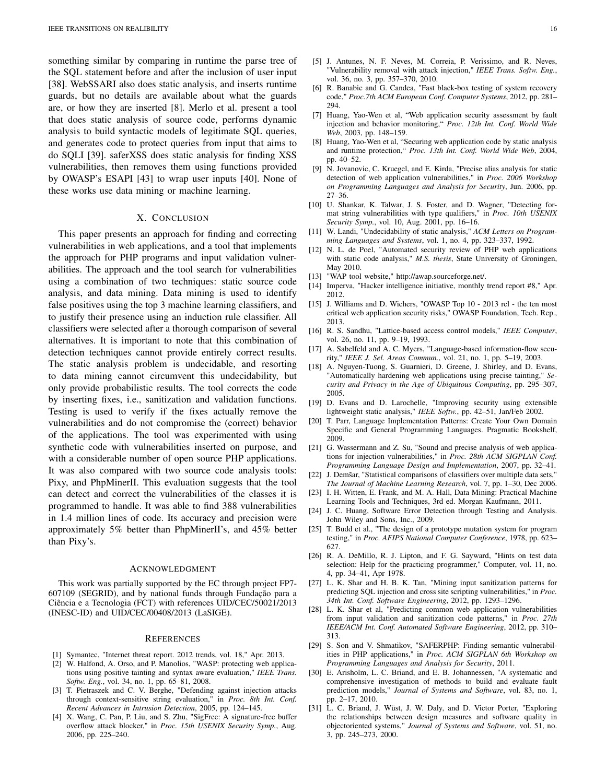something similar by comparing in runtime the parse tree of the SQL statement before and after the inclusion of user input [38]. WebSSARI also does static analysis, and inserts runtime guards, but no details are available about what the guards are, or how they are inserted [8]. Merlo et al. present a tool that does static analysis of source code, performs dynamic analysis to build syntactic models of legitimate SQL queries, and generates code to protect queries from input that aims to do SQLI [39]. saferXSS does static analysis for finding XSS vulnerabilities, then removes them using functions provided by OWASP's ESAPI [43] to wrap user inputs [40]. None of these works use data mining or machine learning.

## X. CONCLUSION

This paper presents an approach for finding and correcting vulnerabilities in web applications, and a tool that implements the approach for PHP programs and input validation vulnerabilities. The approach and the tool search for vulnerabilities using a combination of two techniques: static source code analysis, and data mining. Data mining is used to identify false positives using the top 3 machine learning classifiers, and to justify their presence using an induction rule classifier. All classifiers were selected after a thorough comparison of several alternatives. It is important to note that this combination of detection techniques cannot provide entirely correct results. The static analysis problem is undecidable, and resorting to data mining cannot circumvent this undecidability, but only provide probabilistic results. The tool corrects the code by inserting fixes, i.e., sanitization and validation functions. Testing is used to verify if the fixes actually remove the vulnerabilities and do not compromise the (correct) behavior of the applications. The tool was experimented with using synthetic code with vulnerabilities inserted on purpose, and with a considerable number of open source PHP applications. It was also compared with two source code analysis tools: Pixy, and PhpMinerII. This evaluation suggests that the tool can detect and correct the vulnerabilities of the classes it is programmed to handle. It was able to find 388 vulnerabilities in 1.4 million lines of code. Its accuracy and precision were approximately 5% better than PhpMinerII's, and 45% better than Pixy's.

#### ACKNOWLEDGMENT

This work was partially supported by the EC through project FP7- 607109 (SEGRID), and by national funds through Fundação para a Ciência e a Tecnologia (FCT) with references UID/CEC/50021/2013 (INESC-ID) and UID/CEC/00408/2013 (LaSIGE).

#### **REFERENCES**

- [1] Symantec, "Internet threat report. 2012 trends, vol. 18," Apr. 2013.
- [2] W. Halfond, A. Orso, and P. Manolios, "WASP: protecting web applications using positive tainting and syntax aware evaluation," *IEEE Trans. Softw. Eng.*, vol. 34, no. 1, pp. 65–81, 2008.
- [3] T. Pietraszek and C. V. Berghe, "Defending against injection attacks through context-sensitive string evaluation," in *Proc. 8th Int. Conf. Recent Advances in Intrusion Detection*, 2005, pp. 124–145.
- [4] X. Wang, C. Pan, P. Liu, and S. Zhu, "SigFree: A signature-free buffer overflow attack blocker," in *Proc. 15th USENIX Security Symp.*, Aug. 2006, pp. 225–240.
- [6] R. Banabic and G. Candea, "Fast black-box testing of system recovery code," *Proc.7th ACM European Conf. Computer Systems*, 2012, pp. 281– 294.
- [7] Huang, Yao-Wen et al, "Web application security assessment by fault injection and behavior monitoring," *Proc. 12th Int. Conf. World Wide Web*, 2003, pp. 148–159.
- [8] Huang, Yao-Wen et al, "Securing web application code by static analysis and runtime protection," *Proc. 13th Int. Conf. World Wide Web*, 2004, pp. 40–52.
- [9] N. Jovanovic, C. Kruegel, and E. Kirda, "Precise alias analysis for static detection of web application vulnerabilities," in *Proc. 2006 Workshop on Programming Languages and Analysis for Security*, Jun. 2006, pp. 27–36.
- [10] U. Shankar, K. Talwar, J. S. Foster, and D. Wagner, "Detecting format string vulnerabilities with type qualifiers," in *Proc. 10th USENIX Security Symp.*, vol. 10, Aug. 2001, pp. 16–16.
- [11] W. Landi, "Undecidability of static analysis," *ACM Letters on Programming Languages and Systems*, vol. 1, no. 4, pp. 323–337, 1992.
- [12] N. L. de Poel, "Automated security review of PHP web applications with static code analysis," *M.S. thesis*, State University of Groningen, May 2010.
- [13] "WAP tool website," http://awap.sourceforge.net/.
- [14] Imperva, "Hacker intelligence initiative, monthly trend report #8," Apr. 2012.
- [15] J. Williams and D. Wichers, "OWASP Top 10 2013 rcl the ten most critical web application security risks," OWASP Foundation, Tech. Rep., 2013.
- [16] R. S. Sandhu, "Lattice-based access control models," *IEEE Computer*, vol. 26, no. 11, pp. 9–19, 1993.
- [17] A. Sabelfeld and A. C. Myers, "Language-based information-flow security," *IEEE J. Sel. Areas Commun.*, vol. 21, no. 1, pp. 5–19, 2003.
- [18] A. Nguyen-Tuong, S. Guarnieri, D. Greene, J. Shirley, and D. Evans, "Automatically hardening web applications using precise tainting," *Security and Privacy in the Age of Ubiquitous Computing*, pp. 295–307, 2005.
- [19] D. Evans and D. Larochelle, "Improving security using extensible lightweight static analysis," *IEEE Softw.*, pp. 42–51, Jan/Feb 2002.
- [20] T. Parr, Language Implementation Patterns: Create Your Own Domain Specific and General Programming Languages. Pragmatic Bookshelf, 2009.
- [21] G. Wassermann and Z. Su, "Sound and precise analysis of web applications for injection vulnerabilities," in *Proc. 28th ACM SIGPLAN Conf. Programming Language Design and Implementation*, 2007, pp. 32–41.
- [22] J. Demsar, "Statistical comparisons of classifiers over multiple data sets," *The Journal of Machine Learning Research*, vol. 7, pp. 1–30, Dec 2006.
- [23] I. H. Witten, E. Frank, and M. A. Hall, Data Mining: Practical Machine Learning Tools and Techniques, 3rd ed. Morgan Kaufmann, 2011.
- [24] J. C. Huang, Software Error Detection through Testing and Analysis. John Wiley and Sons, Inc., 2009.
- [25] T. Budd et al., "The design of a prototype mutation system for program testing," in *Proc. AFIPS National Computer Conference*, 1978, pp. 623– 627.
- [26] R. A. DeMillo, R. J. Lipton, and F. G. Sayward, "Hints on test data selection: Help for the practicing programmer," Computer, vol. 11, no. 4, pp. 34–41, Apr 1978.
- [27] L. K. Shar and H. B. K. Tan, "Mining input sanitization patterns for predicting SQL injection and cross site scripting vulnerabilities," in *Proc. 34th Int. Conf. Software Engineering*, 2012, pp. 1293–1296.
- [28] L. K. Shar et al, "Predicting common web application vulnerabilities from input validation and sanitization code patterns," in *Proc. 27th IEEE/ACM Int. Conf. Automated Software Engineering*, 2012, pp. 310– 313.
- [29] S. Son and V. Shmatikov, "SAFERPHP: Finding semantic vulnerabilities in PHP applications," in *Proc. ACM SIGPLAN 6th Workshop on Programming Languages and Analysis for Security*, 2011.
- [30] E. Arisholm, L. C. Briand, and E. B. Johannessen, "A systematic and comprehensive investigation of methods to build and evaluate fault prediction models," *Journal of Systems and Software*, vol. 83, no. 1, pp. 2–17, 2010.
- [31] L. C. Briand, J. Wüst, J. W. Daly, and D. Victor Porter, "Exploring the relationships between design measures and software quality in objectoriented systems," *Journal of Systems and Software*, vol. 51, no. 3, pp. 245–273, 2000.